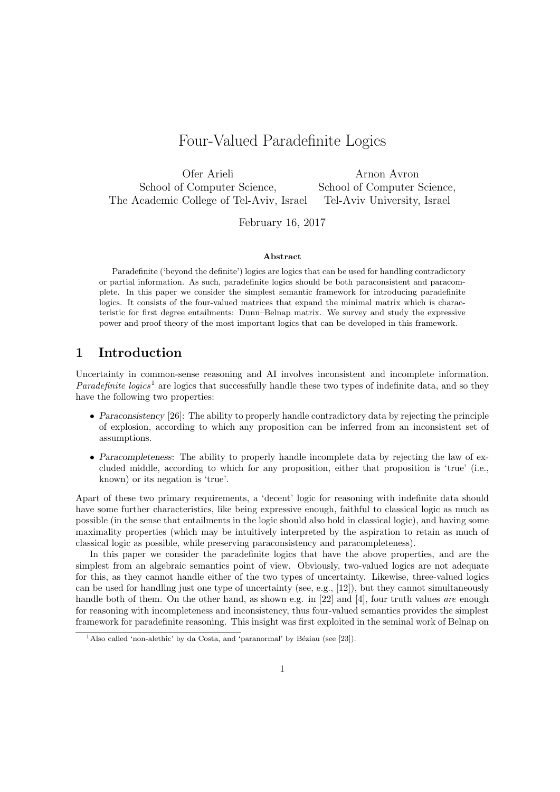# Four-Valued Paradefinite Logics

Ofer Arieli Arnon Avron School of Computer Science, School of Computer Science, The Academic College of Tel-Aviv, Israel Tel-Aviv University, Israel

February 16, 2017

#### Abstract

Paradefinite ('beyond the definite') logics are logics that can be used for handling contradictory or partial information. As such, paradefinite logics should be both paraconsistent and paracomplete. In this paper we consider the simplest semantic framework for introducing paradefinite logics. It consists of the four-valued matrices that expand the minimal matrix which is characteristic for first degree entailments: Dunn–Belnap matrix. We survey and study the expressive power and proof theory of the most important logics that can be developed in this framework.

## 1 Introduction

Uncertainty in common-sense reasoning and AI involves inconsistent and incomplete information. *Paradefinite logics*<sup>1</sup> are logics that successfully handle these two types of indefinite data, and so they have the following two properties:

- Paraconsistency [26]: The ability to properly handle contradictory data by rejecting the principle of explosion, according to which any proposition can be inferred from an inconsistent set of assumptions.
- Paracompleteness: The ability to properly handle incomplete data by rejecting the law of excluded middle, according to which for any proposition, either that proposition is 'true' (i.e., known) or its negation is 'true'.

Apart of these two primary requirements, a 'decent' logic for reasoning with indefinite data should have some further characteristics, like being expressive enough, faithful to classical logic as much as possible (in the sense that entailments in the logic should also hold in classical logic), and having some maximality properties (which may be intuitively interpreted by the aspiration to retain as much of classical logic as possible, while preserving paraconsistency and paracompleteness).

In this paper we consider the paradefinite logics that have the above properties, and are the simplest from an algebraic semantics point of view. Obviously, two-valued logics are not adequate for this, as they cannot handle either of the two types of uncertainty. Likewise, three-valued logics can be used for handling just one type of uncertainty (see, e.g., [12]), but they cannot simultaneously handle both of them. On the other hand, as shown e.g. in [22] and [4], four truth values are enough for reasoning with incompleteness and inconsistency, thus four-valued semantics provides the simplest framework for paradefinite reasoning. This insight was first exploited in the seminal work of Belnap on

<sup>&</sup>lt;sup>1</sup>Also called 'non-alethic' by da Costa, and 'paranormal' by Béziau (see [23]).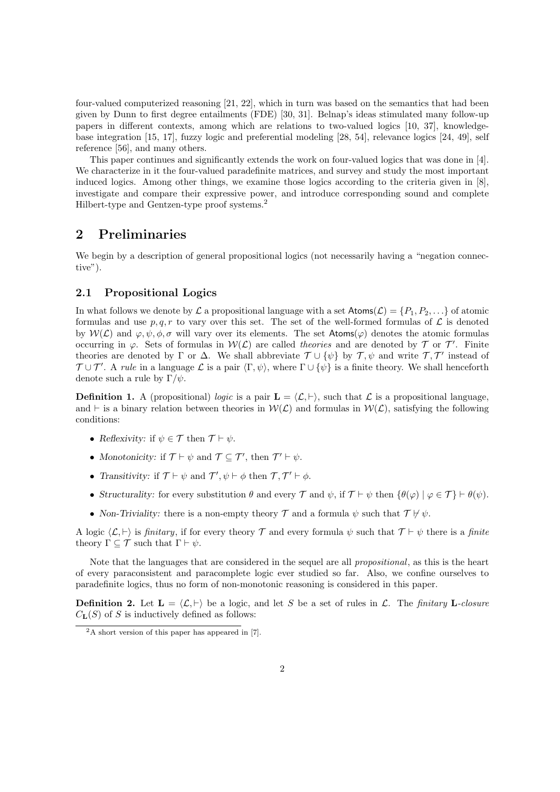four-valued computerized reasoning [21, 22], which in turn was based on the semantics that had been given by Dunn to first degree entailments (FDE) [30, 31]. Belnap's ideas stimulated many follow-up papers in different contexts, among which are relations to two-valued logics [10, 37], knowledgebase integration [15, 17], fuzzy logic and preferential modeling [28, 54], relevance logics [24, 49], self reference [56], and many others.

This paper continues and significantly extends the work on four-valued logics that was done in [4]. We characterize in it the four-valued paradefinite matrices, and survey and study the most important induced logics. Among other things, we examine those logics according to the criteria given in [8], investigate and compare their expressive power, and introduce corresponding sound and complete Hilbert-type and Gentzen-type proof systems.<sup>2</sup>

## 2 Preliminaries

We begin by a description of general propositional logics (not necessarily having a "negation connective").

#### 2.1 Propositional Logics

In what follows we denote by  $\mathcal L$  a propositional language with a set  $\mathsf{Atoms}(\mathcal L) = \{P_1, P_2, \ldots\}$  of atomic formulas and use p, q, r to vary over this set. The set of the well-formed formulas of  $\mathcal L$  is denoted by  $W(\mathcal{L})$  and  $\varphi, \psi, \phi, \sigma$  will vary over its elements. The set Atoms( $\varphi$ ) denotes the atomic formulas occurring in  $\varphi$ . Sets of formulas in  $W(\mathcal{L})$  are called theories and are denoted by  $\mathcal{T}$  or  $\mathcal{T}'$ . Finite theories are denoted by  $\Gamma$  or  $\Delta$ . We shall abbreviate  $\mathcal{T} \cup \{\psi\}$  by  $\mathcal{T}, \psi$  and write  $\mathcal{T}, \mathcal{T}'$  instead of  $T \cup T'$ . A rule in a language  $\mathcal L$  is a pair  $\langle \Gamma, \psi \rangle$ , where  $\Gamma \cup {\psi}$  is a finite theory. We shall henceforth denote such a rule by  $\Gamma/\psi$ .

**Definition 1.** A (propositional) logic is a pair  $\mathbf{L} = \langle \mathcal{L}, \vdash \rangle$ , such that  $\mathcal{L}$  is a propositional language, and  $\vdash$  is a binary relation between theories in  $W(\mathcal{L})$  and formulas in  $W(\mathcal{L})$ , satisfying the following conditions:

- Reflexivity: if  $\psi \in \mathcal{T}$  then  $\mathcal{T} \vdash \psi$ .
- Monotonicity: if  $\mathcal{T} \vdash \psi$  and  $\mathcal{T} \subseteq \mathcal{T}'$ , then  $\mathcal{T}' \vdash \psi$ .
- Transitivity: if  $\mathcal{T} \vdash \psi$  and  $\mathcal{T}', \psi \vdash \phi$  then  $\mathcal{T}, \mathcal{T}' \vdash \phi$ .
- Structurality: for every substitution  $\theta$  and every  $\mathcal T$  and  $\psi$ , if  $\mathcal T \vdash \psi$  then  $\{\theta(\varphi) \mid \varphi \in \mathcal T\} \vdash \theta(\psi)$ .
- Non-Triviality: there is a non-empty theory  $\mathcal T$  and a formula  $\psi$  such that  $\mathcal T \nvDash \psi$ .

A logic  $\langle \mathcal{L}, \vdash \rangle$  is *finitary*, if for every theory  $\mathcal{T}$  and every formula  $\psi$  such that  $\mathcal{T} \vdash \psi$  there is a *finite* theory  $\Gamma \subseteq \mathcal{T}$  such that  $\Gamma \vdash \psi$ .

Note that the languages that are considered in the sequel are all *propositional*, as this is the heart of every paraconsistent and paracomplete logic ever studied so far. Also, we confine ourselves to paradefinite logics, thus no form of non-monotonic reasoning is considered in this paper.

**Definition 2.** Let  $\mathbf{L} = \langle \mathcal{L}, \vdash \rangle$  be a logic, and let S be a set of rules in  $\mathcal{L}$ . The finitary L-closure  $C_{\mathbf{L}}(S)$  of S is inductively defined as follows:

<sup>2</sup>A short version of this paper has appeared in [7].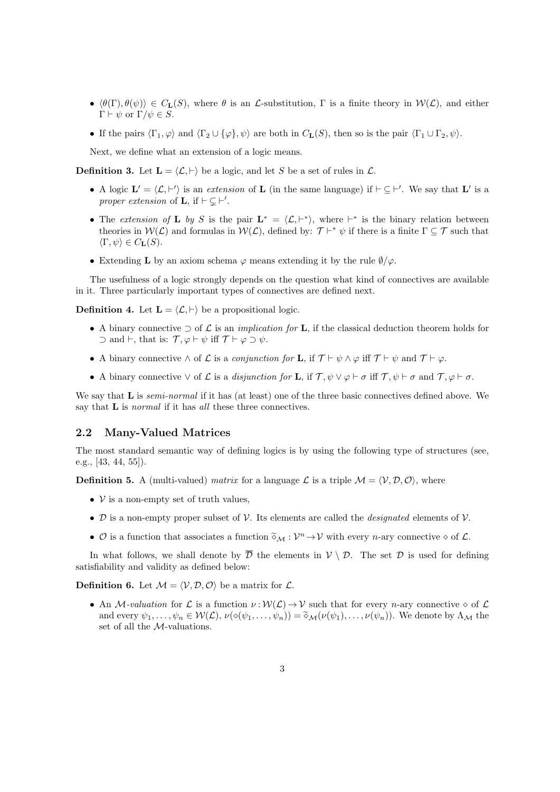- $\langle \theta(\Gamma), \theta(\psi) \rangle \in C_{\mathbf{L}}(S)$ , where  $\theta$  is an L-substitution,  $\Gamma$  is a finite theory in  $\mathcal{W}(\mathcal{L})$ , and either Γ  $\vdash$   $\psi$  or  $\Gamma/\psi \in S$ .
- If the pairs  $\langle \Gamma_1, \varphi \rangle$  and  $\langle \Gamma_2 \cup {\varphi}, \psi \rangle$  are both in  $C_{\mathbf{L}}(S)$ , then so is the pair  $\langle \Gamma_1 \cup \Gamma_2, \psi \rangle$ .

Next, we define what an extension of a logic means.

**Definition 3.** Let  $\mathbf{L} = \langle \mathcal{L}, \vdash \rangle$  be a logic, and let S be a set of rules in  $\mathcal{L}$ .

- A logic  $\mathbf{L}' = \langle \mathcal{L}, \vdash' \rangle$  is an extension of **L** (in the same language) if  $\vdash \subseteq \vdash'$ . We say that **L'** is a proper extension of **L**, if  $\vdash \subsetneq \vdash'$ .
- The extension of **L** by S is the pair  $\mathbf{L}^* = \langle \mathcal{L}, \vdash^* \rangle$ , where  $\vdash^*$  is the binary relation between theories in  $W(\mathcal{L})$  and formulas in  $W(\mathcal{L})$ , defined by:  $\mathcal{T} \vdash^* \psi$  if there is a finite  $\Gamma \subseteq \mathcal{T}$  such that  $\langle \Gamma, \psi \rangle \in C_{\mathbf{L}}(S).$
- Extending **L** by an axiom schema  $\varphi$  means extending it by the rule  $\varnothing/\varphi$ .

The usefulness of a logic strongly depends on the question what kind of connectives are available in it. Three particularly important types of connectives are defined next.

**Definition 4.** Let  $\mathbf{L} = \langle \mathcal{L}, \vdash \rangle$  be a propositional logic.

- A binary connective  $\supset$  of  $\mathcal L$  is an *implication for* **L**, if the classical deduction theorem holds for  $\supset$  and  $\vdash$ , that is:  $\mathcal{T}, \varphi \vdash \psi$  iff  $\mathcal{T} \vdash \varphi \supset \psi$ .
- A binary connective  $\wedge$  of  $\mathcal L$  is a *conjunction for* **L**, if  $\mathcal T \vdash \psi \wedge \varphi$  iff  $\mathcal T \vdash \psi$  and  $\mathcal T \vdash \varphi$ .
- A binary connective  $\vee$  of  $\mathcal L$  is a disjunction for **L**, if  $\mathcal T, \psi \vee \varphi \vdash \sigma$  iff  $\mathcal T, \psi \vdash \sigma$  and  $\mathcal T, \varphi \vdash \sigma$ .

We say that **L** is *semi-normal* if it has (at least) one of the three basic connectives defined above. We say that **L** is *normal* if it has all these three connectives.

#### 2.2 Many-Valued Matrices

The most standard semantic way of defining logics is by using the following type of structures (see, e.g., [43, 44, 55]).

**Definition 5.** A (multi-valued) matrix for a language L is a triple  $M = \langle V, D, O \rangle$ , where

- $V$  is a non-empty set of truth values,
- D is a non-empty proper subset of  $\mathcal V$ . Its elements are called the *designated* elements of  $\mathcal V$ .
- $\mathcal O$  is a function that associates a function  $\tilde{\diamond}_{\mathcal M}: \mathcal V^n \to \mathcal V$  with every *n*-ary connective  $\diamond$  of  $\mathcal L$ .

In what follows, we shall denote by  $\overline{\mathcal{D}}$  the elements in  $\mathcal{V} \setminus \mathcal{D}$ . The set  $\mathcal{D}$  is used for defining satisfiability and validity as defined below:

**Definition 6.** Let  $M = \langle V, \mathcal{D}, \mathcal{O} \rangle$  be a matrix for  $\mathcal{L}$ .

• An M-valuation for L is a function  $\nu : \mathcal{W}(\mathcal{L}) \to \mathcal{V}$  such that for every n-ary connective  $\diamond$  of L and every  $\psi_1, \ldots, \psi_n \in \mathcal{W}(\mathcal{L}), \nu(\diamond(\psi_1, \ldots, \psi_n)) = \widetilde{\diamond}_{\mathcal{M}}(\nu(\psi_1), \ldots, \nu(\psi_n)).$  We denote by  $\Lambda_{\mathcal{M}}$  the set of all the M-valuations.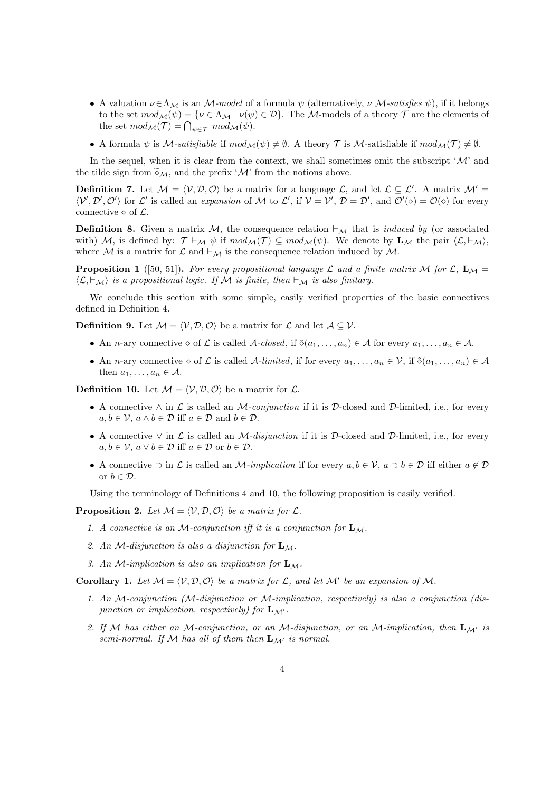- A valuation  $\nu \in \Lambda_M$  is an M-model of a formula  $\psi$  (alternatively,  $\nu$  M-satisfies  $\psi$ ), if it belongs to the set  $mod_{\mathcal{M}}(\psi) = {\nu \in \Lambda_{\mathcal{M}} \mid \nu(\psi) \in \mathcal{D}}.$  The M-models of a theory  $\mathcal T$  are the elements of the set  $mod_{\mathcal{M}}(\mathcal{T}) = \bigcap_{\psi \in \mathcal{T}} mod_{\mathcal{M}}(\psi)$ .
- A formula  $\psi$  is M-satisfiable if  $mod_{\mathcal{M}}(\psi) \neq \emptyset$ . A theory T is M-satisfiable if  $mod_{\mathcal{M}}(\mathcal{T}) \neq \emptyset$ .

In the sequel, when it is clear from the context, we shall sometimes omit the subscript  $^{\prime}$ M' and the tilde sign from  $\widetilde{\diamond}_{\mathcal{M}},$  and the prefix ' $\mathcal M$ ' from the notions above.

**Definition 7.** Let  $M = \langle V, \mathcal{D}, \mathcal{O} \rangle$  be a matrix for a language L, and let  $\mathcal{L} \subseteq \mathcal{L}'$ . A matrix  $\mathcal{M}' =$  $\langle V', \mathcal{D}', \mathcal{O}' \rangle$  for L' is called an expansion of M to L', if  $V = V'$ ,  $\mathcal{D} = \mathcal{D}'$ , and  $\mathcal{O}'(\diamond) = \mathcal{O}(\diamond)$  for every connective  $\diamond$  of  $\mathcal{L}$ .

**Definition 8.** Given a matrix M, the consequence relation  $\vdash_{\mathcal{M}}$  that is *induced by* (or associated with) M, is defined by:  $\mathcal{T} \vdash_{\mathcal{M}} \psi$  if  $mod_{\mathcal{M}}(\mathcal{T}) \subseteq mod_{\mathcal{M}}(\psi)$ . We denote by  $\mathbf{L}_{\mathcal{M}}$  the pair  $\langle \mathcal{L}, \vdash_{\mathcal{M}} \rangle$ , where M is a matrix for  $\mathcal L$  and  $\vdash_{\mathcal M}$  is the consequence relation induced by M.

**Proposition 1** ([50, 51]). For every propositional language L and a finite matrix M for  $\mathcal{L}$ ,  $\mathbf{L}_{\mathcal{M}} =$  $\langle \mathcal{L}, \vdash_{\mathcal{M}} \rangle$  is a propositional logic. If M is finite, then  $\vdash_{\mathcal{M}}$  is also finitary.

We conclude this section with some simple, easily verified properties of the basic connectives defined in Definition 4.

**Definition 9.** Let  $M = \langle V, \mathcal{D}, \mathcal{O} \rangle$  be a matrix for  $\mathcal{L}$  and let  $\mathcal{A} \subseteq \mathcal{V}$ .

- An *n*-ary connective  $\diamond$  of L is called A-closed, if  $\delta(a_1, \ldots, a_n) \in A$  for every  $a_1, \ldots, a_n \in A$ .
- An *n*-ary connective  $\diamond$  of  $\mathcal L$  is called A-limited, if for every  $a_1, \ldots, a_n \in \mathcal V$ , if  $\delta(a_1, \ldots, a_n) \in \mathcal A$ then  $a_1, \ldots, a_n \in \mathcal{A}$ .

**Definition 10.** Let  $M = \langle V, \mathcal{D}, \mathcal{O} \rangle$  be a matrix for  $\mathcal{L}$ .

- A connective  $\wedge$  in  $\mathcal L$  is called an M-conjunction if it is D-closed and D-limited, i.e., for every  $a, b \in \mathcal{V}, a \wedge b \in \mathcal{D}$  iff  $a \in \mathcal{D}$  and  $b \in \mathcal{D}$ .
- A connective  $\vee$  in  $\mathcal L$  is called an *M-disjunction* if it is  $\overline{\mathcal D}$ -closed and  $\overline{\mathcal D}$ -limited, i.e., for every  $a, b \in \mathcal{V}, a \vee b \in \mathcal{D}$  iff  $a \in \mathcal{D}$  or  $b \in \mathcal{D}$ .
- A connective  $\supset$  in L is called an M-implication if for every  $a, b \in \mathcal{V}$ ,  $a \supset b \in \mathcal{D}$  iff either  $a \notin \mathcal{D}$ or  $b \in \mathcal{D}$ .

Using the terminology of Definitions 4 and 10, the following proposition is easily verified.

**Proposition 2.** Let  $M = \langle V, \mathcal{D}, \mathcal{O} \rangle$  be a matrix for  $\mathcal{L}$ .

- 1. A connective is an M-conjunction iff it is a conjunction for  $\mathbf{L}_{\mathcal{M}}$ .
- 2. An M-disjunction is also a disjunction for  $L_M$ .
- 3. An M-implication is also an implication for  $L_M$ .

**Corollary 1.** Let  $M = \langle V, D, O \rangle$  be a matrix for L, and let M' be an expansion of M.

- 1. An M-conjunction (M-disjunction or M-implication, respectively) is also a conjunction (disjunction or implication, respectively) for  $\mathbf{L}_{\mathcal{M}}$ .
- 2. If M has either an M-conjunction, or an M-disjunction, or an M-implication, then  ${\bf L}_{M'}$  is semi-normal. If M has all of them then  $\mathbf{L}_{\mathcal{M}'}$  is normal.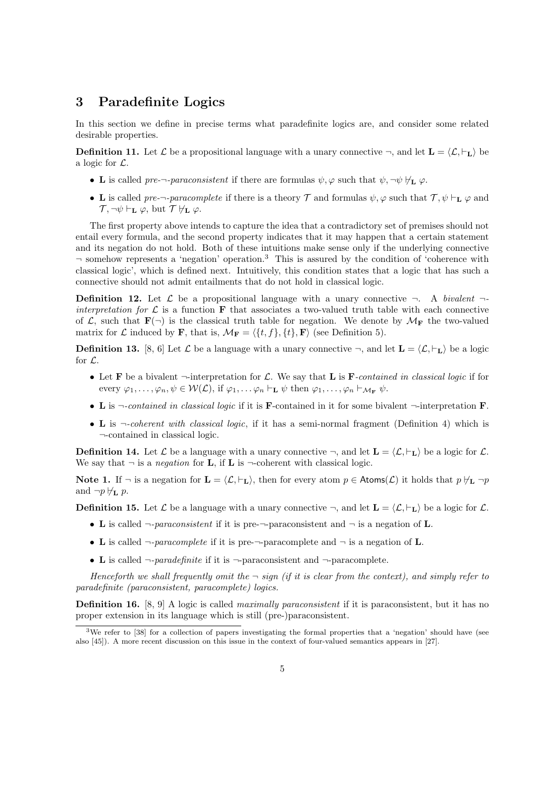### 3 Paradefinite Logics

In this section we define in precise terms what paradefinite logics are, and consider some related desirable properties.

**Definition 11.** Let  $\mathcal{L}$  be a propositional language with a unary connective  $\neg$ , and let  $\mathbf{L} = \langle \mathcal{L}, \vdash_{\mathbf{L}} \rangle$  be a logic for  $\mathcal{L}$ .

- L is called pre- $\neg$ -paraconsistent if there are formulas  $\psi$ ,  $\varphi$  such that  $\psi$ ,  $\neg \psi \nvdash_{\mathbf{L}} \varphi$ .
- L is called pre-¬-paracomplete if there is a theory  $\mathcal T$  and formulas  $\psi, \varphi$  such that  $\mathcal T, \psi \vdash_{\mathbf L} \varphi$  and  $\mathcal{T}, \neg \psi \vdash_{\mathbf{L}} \varphi$ , but  $\mathcal{T} \not\models_{\mathbf{L}} \varphi$ .

The first property above intends to capture the idea that a contradictory set of premises should not entail every formula, and the second property indicates that it may happen that a certain statement and its negation do not hold. Both of these intuitions make sense only if the underlying connective  $\neg$  somehow represents a 'negation' operation.<sup>3</sup> This is assured by the condition of 'coherence with classical logic', which is defined next. Intuitively, this condition states that a logic that has such a connective should not admit entailments that do not hold in classical logic.

**Definition 12.** Let  $\mathcal{L}$  be a propositional language with a unary connective  $\neg$ . A bivalent  $\neg$ interpretation for  $\mathcal L$  is a function **F** that associates a two-valued truth table with each connective of L, such that  $\mathbf{F}(\neg)$  is the classical truth table for negation. We denote by  $\mathcal{M}_{\mathbf{F}}$  the two-valued matrix for L induced by F, that is,  $\mathcal{M}_{\mathbf{F}} = \langle \{t, f\}, \{t\}, \mathbf{F} \rangle$  (see Definition 5).

**Definition 13.** [8, 6] Let L be a language with a unary connective  $\neg$ , and let  $\mathbf{L} = \langle \mathcal{L}, \vdash_{\mathbf{L}} \rangle$  be a logic for  $\mathcal{L}$ .

- Let **F** be a bivalent  $\neg$ -interpretation for L. We say that **L** is **F**-contained in classical logic if for every  $\varphi_1, \ldots, \varphi_n, \psi \in \mathcal{W}(\mathcal{L}),$  if  $\varphi_1, \ldots, \varphi_n \vdash_{\mathbf{L}} \psi$  then  $\varphi_1, \ldots, \varphi_n \vdash_{\mathcal{M}_{\mathbf{F}}} \psi$ .
- L is  $\neg$ -contained in classical logic if it is **F**-contained in it for some bivalent  $\neg$ -interpretation **F**.
- L is  $\neg$ -coherent with classical logic, if it has a semi-normal fragment (Definition 4) which is ¬-contained in classical logic.

**Definition 14.** Let  $\mathcal{L}$  be a language with a unary connective  $\neg$ , and let  $\mathbf{L} = \langle \mathcal{L}, \vdash_{\mathbf{L}} \rangle$  be a logic for  $\mathcal{L}$ . We say that  $\neg$  is a *negation* for **L**, if **L** is  $\neg$ -coherent with classical logic.

Note 1. If  $\neg$  is a negation for  $\mathbf{L} = \langle \mathcal{L}, \vdash_{\mathbf{L}} \rangle$ , then for every atom  $p \in \text{Atoms}(\mathcal{L})$  it holds that  $p \nvDash_{\mathbf{L}} \neg p$ and  $\neg p \nvdash_{\mathbf{L}} p$ .

**Definition 15.** Let  $\mathcal{L}$  be a language with a unary connective  $\neg$ , and let  $\mathbf{L} = \langle \mathcal{L}, \vdash_{\mathbf{L}} \rangle$  be a logic for  $\mathcal{L}$ .

- L is called  $\neg$ -paraconsistent if it is pre- $\neg$ -paraconsistent and  $\neg$  is a negation of L.
- L is called  $\neg$ -paracomplete if it is pre- $\neg$ -paracomplete and  $\neg$  is a negation of L.
- L is called  $\neg$ -paradefinite if it is  $\neg$ -paraconsistent and  $\neg$ -paracomplete.

Henceforth we shall frequently omit the  $\neg$  sign (if it is clear from the context), and simply refer to paradefinite (paraconsistent, paracomplete) logics.

**Definition 16.** [8, 9] A logic is called *maximally paraconsistent* if it is paraconsistent, but it has no proper extension in its language which is still (pre-)paraconsistent.

<sup>3</sup>We refer to [38] for a collection of papers investigating the formal properties that a 'negation' should have (see also [45]). A more recent discussion on this issue in the context of four-valued semantics appears in [27].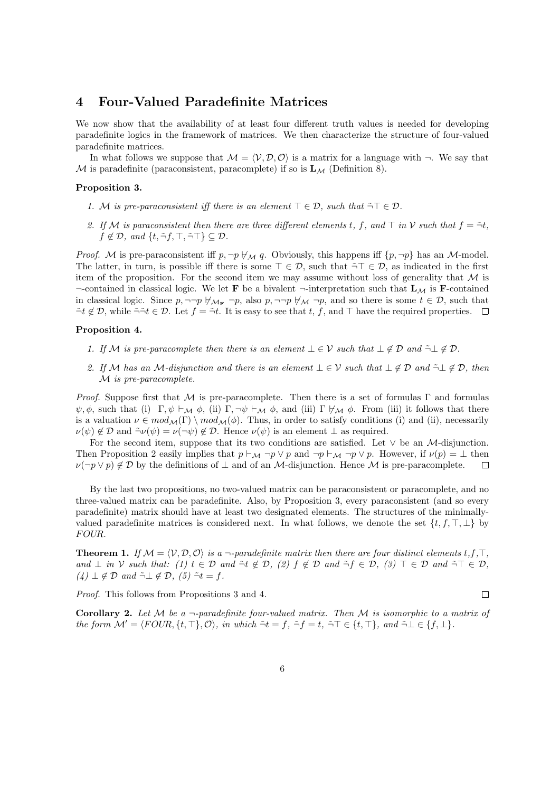### 4 Four-Valued Paradefinite Matrices

We now show that the availability of at least four different truth values is needed for developing paradefinite logics in the framework of matrices. We then characterize the structure of four-valued paradefinite matrices.

In what follows we suppose that  $\mathcal{M} = \langle \mathcal{V}, \mathcal{D}, \mathcal{O} \rangle$  is a matrix for a language with  $\neg$ . We say that M is paradefinite (paraconsistent, paracomplete) if so is  $\mathbf{L}_{\mathcal{M}}$  (Definition 8).

#### Proposition 3.

- 1. M is pre-paraconsistent iff there is an element  $\top \in \mathcal{D}$ , such that  $\tilde{\neg} \top \in \mathcal{D}$ .
- 2. If M is paraconsistent then there are three different elements t, f, and  $\top$  in V such that  $f = \tilde{\neg} t$ ,  $f \notin \mathcal{D}$ , and  $\{t, \tilde{\neg} f, \top, \tilde{\neg} \top\} \subseteq \mathcal{D}$ .

*Proof.* M is pre-paraconsistent iff  $p, \neg p \nleftrightarrow_M q$ . Obviously, this happens iff  $\{p, \neg p\}$  has an M-model. The latter, in turn, is possible iff there is some  $\top \in \mathcal{D}$ , such that  $\tilde{\neg} \top \in \mathcal{D}$ , as indicated in the first item of the proposition. For the second item we may assume without loss of generality that  $\mathcal M$  is  $\neg$ -contained in classical logic. We let **F** be a bivalent  $\neg$ -interpretation such that  $L_M$  is **F**-contained in classical logic. Since  $p, \neg\neg p \nleftrightarrow_{\mathcal{M}_{\mathbf{F}}} \neg p$ , also  $p, \neg\neg p \nleftrightarrow_{\mathcal{M}} \neg p$ , and so there is some  $t \in \mathcal{D}$ , such that  $\tilde{\neg} t \notin \mathcal{D}$ , while  $\tilde{\neg} \tilde{\neg} t \in \mathcal{D}$ . Let  $f = \tilde{\neg} t$ . It is easy to see that  $t, f$ , and  $\top$  have the required properties.  $\Box$ 

#### Proposition 4.

- 1. If M is pre-paracomplete then there is an element  $\bot \in \mathcal{V}$  such that  $\bot \notin \mathcal{D}$  and  $\tilde{\neg} \bot \notin \mathcal{D}$ .
- 2. If M has an M-disjunction and there is an element  $\bot \in \mathcal{V}$  such that  $\bot \notin \mathcal{D}$  and  $\tilde{\neg} \bot \notin \mathcal{D}$ , then M is pre-paracomplete.

*Proof.* Suppose first that M is pre-paracomplete. Then there is a set of formulas  $\Gamma$  and formulas  $\psi, \phi$ , such that (i) Γ,  $\psi \vdash_{\mathcal{M}} \phi$ , (ii) Γ,  $\neg \psi \vdash_{\mathcal{M}} \phi$ , and (iii) Γ  $\nvdash_{\mathcal{M}} \phi$ . From (iii) it follows that there is a valuation  $\nu \in mod_{\mathcal{M}}(\Gamma) \setminus mod_{\mathcal{M}}(\phi)$ . Thus, in order to satisfy conditions (i) and (ii), necessarily  $\nu(\psi) \notin \mathcal{D}$  and  $\tilde{\neg} \nu(\psi) = \nu(\neg \psi) \notin \mathcal{D}$ . Hence  $\nu(\psi)$  is an element  $\perp$  as required.

For the second item, suppose that its two conditions are satisfied. Let  $\vee$  be an *M*-disjunction. Then Proposition 2 easily implies that  $p \vdash_{\mathcal{M}} \neg p \lor p$  and  $\neg p \vdash_{\mathcal{M}} \neg p \lor p$ . However, if  $\nu(p) = \bot$  then  $\nu(\neg p \lor p) \notin \mathcal{D}$  by the definitions of  $\bot$  and of an *M*-disjunction. Hence *M* is pre-paracomplete.  $\Box$ 

By the last two propositions, no two-valued matrix can be paraconsistent or paracomplete, and no three-valued matrix can be paradefinite. Also, by Proposition 3, every paraconsistent (and so every paradefinite) matrix should have at least two designated elements. The structures of the minimallyvalued paradefinite matrices is considered next. In what follows, we denote the set  $\{t, f, \top, \bot\}$  by FOUR.

**Theorem 1.** If  $\mathcal{M} = \langle \mathcal{V}, \mathcal{D}, \mathcal{O} \rangle$  is a  $\neg$ -paradefinite matrix then there are four distinct elements t,f, $\top$ , and  $\perp$  in V such that: (1)  $t \in \mathcal{D}$  and  $\tilde{\neg}t \notin \mathcal{D}$ , (2)  $f \notin \mathcal{D}$  and  $\tilde{\neg}f \in \mathcal{D}$ , (3)  $\top \in \mathcal{D}$  and  $\tilde{\neg} \top \in \mathcal{D}$ ,  $(4) \perp \notin \mathcal{D}$  and  $\tilde{\neg} \perp \notin \mathcal{D}$ ,  $(5) \tilde{\neg} t = f$ .

Proof. This follows from Propositions 3 and 4.

Corollary 2. Let  $M$  be a  $\neg$ -paradefinite four-valued matrix. Then  $M$  is isomorphic to a matrix of the form  $\mathcal{M}' = \langle \text{FOUR}, \{t, \top\}, \mathcal{O} \rangle$ , in which  $\tilde{\neg} t = f$ ,  $\tilde{\neg} f = t$ ,  $\tilde{\neg} T \in \{t, \top\}$ , and  $\tilde{\neg} \bot \in \{f, \bot\}$ .

 $\Box$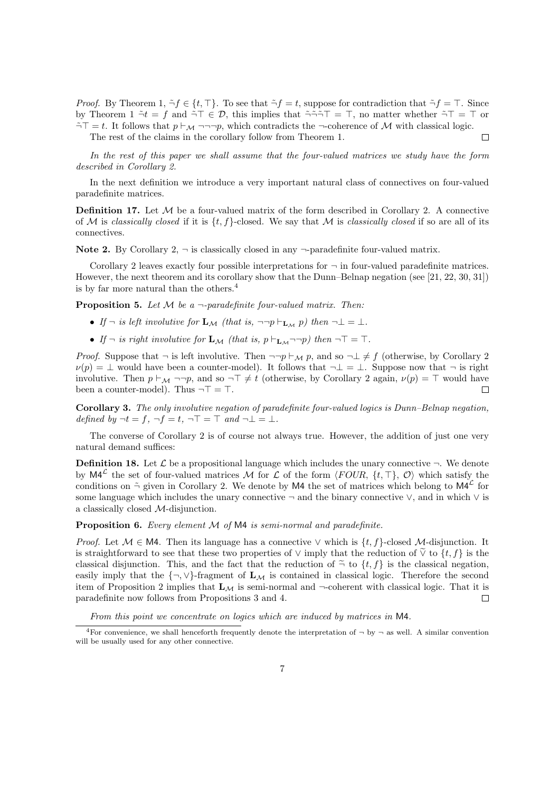*Proof.* By Theorem 1,  $\tilde{\neg} f \in \{t, \top\}$ . To see that  $\tilde{\neg} f = t$ , suppose for contradiction that  $\tilde{\neg} f = \top$ . Since by Theorem 1  $\tilde{\neg}t = f$  and  $\tilde{\neg}T \in \mathcal{D}$ , this implies that  $\tilde{\neg} \tilde{\neg} \tilde{\neg} T = T$ , no matter whether  $\tilde{\neg}T = T$  or  $\tilde{\neg} \top = t$ . It follows that  $p \vdash_M \neg \neg \neg p$ , which contradicts the  $\neg$ -coherence of M with classical logic. The rest of the claims in the corollary follow from Theorem 1.  $\Box$ 

In the rest of this paper we shall assume that the four-valued matrices we study have the form described in Corollary 2.

In the next definition we introduce a very important natural class of connectives on four-valued paradefinite matrices.

**Definition 17.** Let  $M$  be a four-valued matrix of the form described in Corollary 2. A connective of M is classically closed if it is  $\{t, f\}$ -closed. We say that M is classically closed if so are all of its connectives.

Note 2. By Corollary 2,  $\neg$  is classically closed in any  $\neg$ -paradefinite four-valued matrix.

Corollary 2 leaves exactly four possible interpretations for  $\neg$  in four-valued paradefinite matrices. However, the next theorem and its corollary show that the Dunn–Belnap negation (see [21, 22, 30, 31]) is by far more natural than the others.<sup>4</sup>

**Proposition 5.** Let  $M$  be a  $\neg$ -paradefinite four-valued matrix. Then:

- If  $\neg$  is left involutive for  $\mathbf{L}_\mathcal{M}$  (that is,  $\neg\neg p \vdash_{\mathbf{L}_\mathcal{M}} p$ ) then  $\neg \bot = \bot$ .
- If  $\neg$  is right involutive for  $\mathbf{L}_{\mathcal{M}}$  (that is,  $p \vdash_{\mathbf{L}_{\mathcal{M}}} \neg \neg p$ ) then  $\neg \top = \top$ .

*Proof.* Suppose that  $\neg$  is left involutive. Then  $\neg\neg p \vdash_M p$ , and so  $\neg \bot \neq f$  (otherwise, by Corollary 2  $\nu(p) = \perp$  would have been a counter-model). It follows that  $\neg \perp = \perp$ . Suppose now that  $\neg$  is right involutive. Then  $p \vdash_M \neg\neg p$ , and so  $\neg\top \neq t$  (otherwise, by Corollary 2 again,  $\nu(p) = \top$  would have been a counter-model). Thus  $\neg \top = \top$ . П

Corollary 3. The only involutive negation of paradefinite four-valued logics is Dunn–Belnap negation, defined by  $\neg t = f, \neg f = t, \neg \top = \top$  and  $\neg \bot = \bot$ .

The converse of Corollary 2 is of course not always true. However, the addition of just one very natural demand suffices:

**Definition 18.** Let  $\mathcal{L}$  be a propositional language which includes the unary connective  $\neg$ . We denote by  $\mathsf{M4}^{\mathcal{L}}$  the set of four-valued matrices M for  $\mathcal{L}$  of the form  $\langle \text{FOUR}, \{t, \top\}, \mathcal{O} \rangle$  which satisfy the conditions on  $\tilde{\neg}$  given in Corollary 2. We denote by M4 the set of matrices which belong to M4<sup> $\mathcal{L}$ </sup> for some language which includes the unary connective  $\neg$  and the binary connective  $\vee$ , and in which  $\vee$  is a classically closed M-disjunction.

Proposition 6. Every element M of M4 is semi-normal and paradefinite.

*Proof.* Let  $M \in \mathsf{M}4$ . Then its language has a connective  $\vee$  which is  $\{t, f\}$ -closed M-disjunction. It is straightforward to see that these two properties of  $\vee$  imply that the reduction of  $\widetilde{\vee}$  to  $\{t, f\}$  is the classical disjunction. This, and the fact that the reduction of  $\tilde{\neg}$  to  $\{t, f\}$  is the classical negation, easily imply that the  $\{\neg, \vee\}$ -fragment of  $\mathbf{L}_{\mathcal{M}}$  is contained in classical logic. Therefore the second item of Proposition 2 implies that  $L_M$  is semi-normal and  $\neg$ -coherent with classical logic. That it is paradefinite now follows from Propositions 3 and 4.  $\Box$ 

From this point we concentrate on logics which are induced by matrices in M4.

<sup>&</sup>lt;sup>4</sup>For convenience, we shall henceforth frequently denote the interpretation of  $\neg$  by  $\neg$  as well. A similar convention will be usually used for any other connective.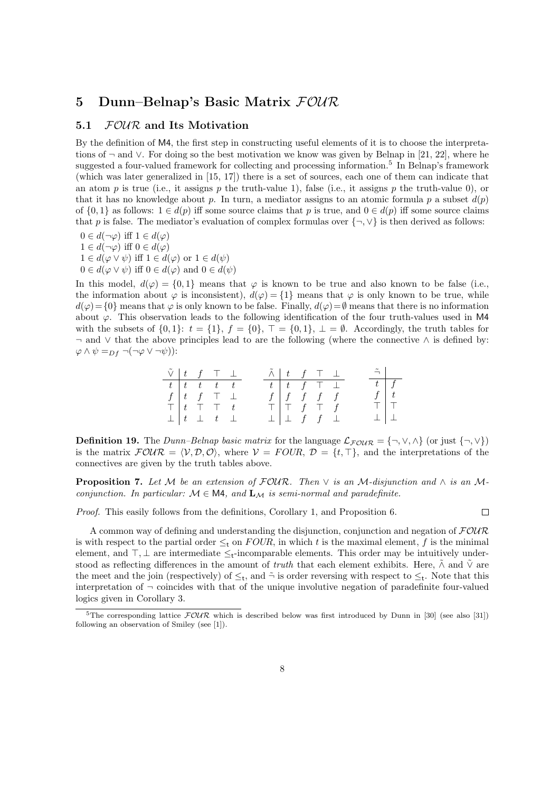## 5 Dunn–Belnap's Basic Matrix  $FOWR$

#### 5.1 *FOUR* and Its Motivation

By the definition of M4, the first step in constructing useful elements of it is to choose the interpretations of ¬ and ∨. For doing so the best motivation we know was given by Belnap in [21, 22], where he suggested a four-valued framework for collecting and processing information.<sup>5</sup> In Belnap's framework (which was later generalized in [15, 17]) there is a set of sources, each one of them can indicate that an atom p is true (i.e., it assigns p the truth-value 1), false (i.e., it assigns p the truth-value 0), or that it has no knowledge about p. In turn, a mediator assigns to an atomic formula p a subset  $d(p)$ of  $\{0, 1\}$  as follows:  $1 \in d(p)$  iff some source claims that p is true, and  $0 \in d(p)$  iff some source claims that p is false. The mediator's evaluation of complex formulas over  $\{\neg, \vee\}$  is then derived as follows:

 $0 \in d(\neg \varphi)$  iff  $1 \in d(\varphi)$  $1 \in d(\neg \varphi)$  iff  $0 \in d(\varphi)$  $1 \in d(\varphi \vee \psi)$  iff  $1 \in d(\varphi)$  or  $1 \in d(\psi)$  $0 \in d(\varphi \vee \psi)$  iff  $0 \in d(\varphi)$  and  $0 \in d(\psi)$ 

In this model,  $d(\varphi) = \{0,1\}$  means that  $\varphi$  is known to be true and also known to be false (i.e., the information about  $\varphi$  is inconsistent),  $d(\varphi) = \{1\}$  means that  $\varphi$  is only known to be true, while  $d(\varphi) = \{0\}$  means that  $\varphi$  is only known to be false. Finally,  $d(\varphi) = \emptyset$  means that there is no information about  $\varphi$ . This observation leads to the following identification of the four truth-values used in M4 with the subsets of  $\{0, 1\}$ :  $t = \{1\}$ ,  $f = \{0\}$ ,  $\top = \{0, 1\}$ ,  $\bot = \emptyset$ . Accordingly, the truth tables for  $\neg$  and  $\vee$  that the above principles lead to are the following (where the connective  $\wedge$  is defined by:  $\varphi \wedge \psi =_{Df} \neg(\neg \varphi \vee \neg \psi)$ :

| $\tilde{\vee}$ $\begin{array}{ccc} t & f & \top & \bot \end{array}$ |  |                                                                                                         |  | $\tilde{\wedge}$ $\begin{array}{ccc} t & f & \top & \bot \end{array}$ |  |  | $\tilde{\neg}$     |  |
|---------------------------------------------------------------------|--|---------------------------------------------------------------------------------------------------------|--|-----------------------------------------------------------------------|--|--|--------------------|--|
|                                                                     |  | $t \mid t \mid t \mid t \mid t \mid t$                                                                  |  | $t$ $t$ $f$ $\top$ $\bot$                                             |  |  | $\boxed{t \mid f}$ |  |
|                                                                     |  | $\frac{f}{\top}\left[\begin{array}{cccc} t & f & \top & \bot \\ t & \top & \top & t \end{array}\right]$ |  | $f \mid f \mid f \mid f \mid f$                                       |  |  | $f \mid t$         |  |
|                                                                     |  |                                                                                                         |  | T   T f T f                                                           |  |  | TIT                |  |
|                                                                     |  | $\perp$ $\perp$ $t$ $\perp$                                                                             |  | $\perp$ $\perp$ f f $\perp$                                           |  |  | $\perp$ $\perp$    |  |

**Definition 19.** The *Dunn–Belnap basic matrix* for the language  $\mathcal{L}_{\text{FOUR}} = \{\neg, \vee, \wedge\}$  (or just  $\{\neg, \vee\}$ ) is the matrix  $\mathcal{FOUR} = \langle V, \mathcal{D}, \mathcal{O} \rangle$ , where  $V = \text{FOUR}, \mathcal{D} = \{t, \top\}$ , and the interpretations of the connectives are given by the truth tables above.

**Proposition 7.** Let M be an extension of  $\text{FOUR}$ . Then  $\vee$  is an M-disjunction and  $\wedge$  is an Mconjunction. In particular:  $M \in M4$ , and  $L_M$  is semi-normal and paradefinite.

Proof. This easily follows from the definitions, Corollary 1, and Proposition 6.

 $\Box$ 

A common way of defining and understanding the disjunction, conjunction and negation of  $FOWR$ is with respect to the partial order  $\leq_t$  on  $FOUR$ , in which t is the maximal element, f is the minimal element, and  $\top, \bot$  are intermediate  $\leq_t$ -incomparable elements. This order may be intuitively understood as reflecting differences in the amount of *truth* that each element exhibits. Here,  $\tilde{\wedge}$  and  $\tilde{\vee}$  are the meet and the join (respectively) of  $\leq_t$ , and  $\tilde{\neg}$  is order reversing with respect to  $\leq_t$ . Note that this interpretation of  $\neg$  coincides with that of the unique involutive negation of paradefinite four-valued logics given in Corollary 3.

<sup>&</sup>lt;sup>5</sup>The corresponding lattice  $\mathcal{FOUR}$  which is described below was first introduced by Dunn in [30] (see also [31]) following an observation of Smiley (see [1]).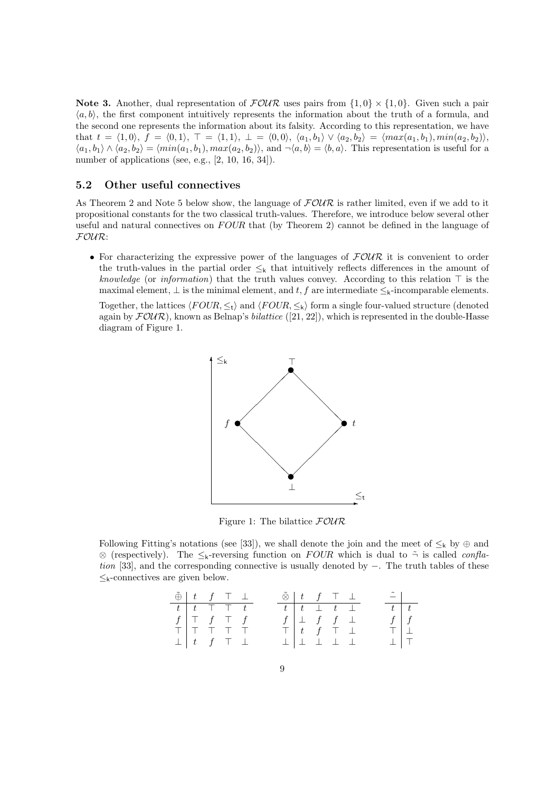Note 3. Another, dual representation of  $FOWR$  uses pairs from  $\{1,0\} \times \{1,0\}$ . Given such a pair  $\langle a, b \rangle$ , the first component intuitively represents the information about the truth of a formula, and the second one represents the information about its falsity. According to this representation, we have that  $t = \langle 1, 0 \rangle$ ,  $f = \langle 0, 1 \rangle$ ,  $\top = \langle 1, 1 \rangle$ ,  $\bot = \langle 0, 0 \rangle$ ,  $\langle a_1, b_1 \rangle \vee \langle a_2, b_2 \rangle = \langle max(a_1, b_1), min(a_2, b_2) \rangle$ ,  $\langle a_1, b_1 \rangle \wedge \langle a_2, b_2 \rangle = \langle min(a_1, b_1), max(a_2, b_2) \rangle$ , and  $\neg \langle a, b \rangle = \langle b, a \rangle$ . This representation is useful for a number of applications (see, e.g., [2, 10, 16, 34]).

#### 5.2 Other useful connectives

As Theorem 2 and Note 5 below show, the language of  $F\mathcal{OUR}$  is rather limited, even if we add to it propositional constants for the two classical truth-values. Therefore, we introduce below several other useful and natural connectives on  $FOUR$  that (by Theorem 2) cannot be defined in the language of FOUR:

• For characterizing the expressive power of the languages of  $FOUR$  it is convenient to order the truth-values in the partial order  $\leq_{k}$  that intuitively reflects differences in the amount of knowledge (or information) that the truth values convey. According to this relation  $\top$  is the maximal element,  $\bot$  is the minimal element, and t, f are intermediate  $\leq_{k}$ -incomparable elements.

Together, the lattices  $\langle FOUR, \leq t \rangle$  and  $\langle FOUR, \leq t \rangle$  form a single four-valued structure (denoted again by  $FOUR$ ), known as Belnap's *bilattice* ([21, 22]), which is represented in the double-Hasse diagram of Figure 1.



Figure 1: The bilattice  $FOWR$ 

Following Fitting's notations (see [33]), we shall denote the join and the meet of  $\leq_k$  by  $\oplus$  and ⊗ (respectively). The  $\leq_k$ -reversing function on FOUR which is dual to  $\tilde{\neg}$  is called *confla*tion [33], and the corresponding connective is usually denoted by −. The truth tables of these  $\leq_{k}$ -connectives are given below.

| $\tilde{\oplus}$ $\begin{array}{ccc} t & f & \top & \bot \end{array}$ |  |                                                                     |  |  | $\tilde{\otimes}$ $t$ $f$ $\top$ $\bot$ |  | $\left  \tilde{-} \right $ |             |
|-----------------------------------------------------------------------|--|---------------------------------------------------------------------|--|--|-----------------------------------------|--|----------------------------|-------------|
|                                                                       |  | $t$   $t$   $\top$   $\top$                                         |  |  | $t$ $t$ $\perp$ $t$ $\perp$             |  | $t \mid t$                 |             |
| $f \mid \top$ $f \mid \top$ $f$                                       |  |                                                                     |  |  | $f \perp f f \perp$                     |  |                            | $f \mid f$  |
|                                                                       |  | $T   T T T T T$                                                     |  |  | $\top$ $t$ $f$ $\top$ $\bot$            |  | $T \perp$                  |             |
|                                                                       |  | $\perp \begin{array}{cccc} \mid & t & f & \top & \perp \end{array}$ |  |  | $\top$ $\top$ $\top$ $\top$ $\top$      |  |                            | $\perp$   T |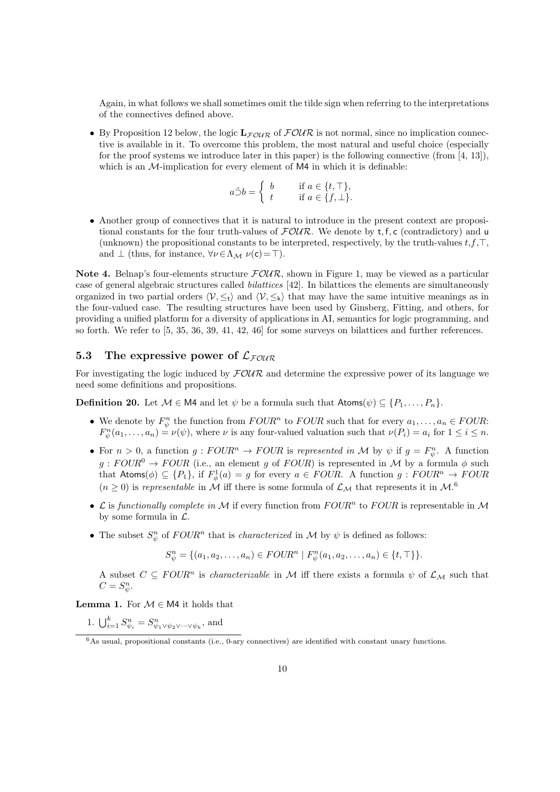Again, in what follows we shall sometimes omit the tilde sign when referring to the interpretations of the connectives defined above.

• By Proposition 12 below, the logic  $\mathbf{L}_{\mathcal{F}\mathcal{O}\mathcal{U}\mathcal{R}}$  of  $\mathcal{F}\mathcal{O}\mathcal{U}\mathcal{R}$  is not normal, since no implication connective is available in it. To overcome this problem, the most natural and useful choice (especially for the proof systems we introduce later in this paper) is the following connective (from  $[4, 13]$ ), which is an  $M$ -implication for every element of  $M4$  in which it is definable:

$$
a \tilde{\supset} b = \begin{cases} b & \text{if } a \in \{t, \top\}, \\ t & \text{if } a \in \{f, \bot\}. \end{cases}
$$

• Another group of connectives that it is natural to introduce in the present context are propositional constants for the four truth-values of  $FOWR$ . We denote by t, f, c (contradictory) and u (unknown) the propositional constants to be interpreted, respectively, by the truth-values  $t, f, \top$ , and  $\perp$  (thus, for instance,  $\forall \nu \in \Lambda_{\mathcal{M}} \nu(c) = \top$ ).

Note 4. Belnap's four-elements structure  $FOUR$ , shown in Figure 1, may be viewed as a particular case of general algebraic structures called bilattices [42]. In bilattices the elements are simultaneously organized in two partial orders  $\langle V, \leq_t \rangle$  and  $\langle V, \leq_k \rangle$  that may have the same intuitive meanings as in the four-valued case. The resulting structures have been used by Ginsberg, Fitting, and others, for providing a unified platform for a diversity of applications in AI, semantics for logic programming, and so forth. We refer to [5, 35, 36, 39, 41, 42, 46] for some surveys on bilattices and further references.

### 5.3 The expressive power of  $\mathcal{L}_{FOMR}$

For investigating the logic induced by  $FOUR$  and determine the expressive power of its language we need some definitions and propositions.

**Definition 20.** Let  $M \in \mathsf{M}4$  and let  $\psi$  be a formula such that  $\mathsf{Atoms}(\psi) \subseteq \{P_1, \ldots, P_n\}.$ 

- We denote by  $F_{\psi}^{n}$  the function from  $FOUR^n$  to  $FOUR$  such that for every  $a_1, \ldots, a_n \in FOUR$ :  $F_{\psi}^n(a_1,\ldots,a_n) = \nu(\psi)$ , where  $\nu$  is any four-valued valuation such that  $\nu(P_i) = a_i$  for  $1 \leq i \leq n$ .
- For  $n > 0$ , a function  $g: FOUR^n \to FOUR$  is represented in M by  $\psi$  if  $g = F^n_{\psi}$ . A function  $g : \text{FOUR}^0 \to \text{FOUR}$  (i.e., an element g of  $\text{FOUR}$ ) is represented in M by a formula  $\phi$  such that Atoms( $\phi$ )  $\subseteq$  {P<sub>1</sub>}, if  $F^1_{\phi}(a) = g$  for every  $a \in FOUR$ . A function  $g : FOUR^n \rightarrow FOUR$  $(n \geq 0)$  is representable in M iff there is some formula of  $\mathcal{L}_{\mathcal{M}}$  that represents it in  $\mathcal{M}$ .<sup>6</sup>
- $\mathcal L$  is functionally complete in M if every function from  $FOUR^n$  to  $FOUR$  is representable in M by some formula in  $\mathcal{L}$ .
- The subset  $S_{\psi}^n$  of  $FOUR^n$  that is *characterized* in M by  $\psi$  is defined as follows:

$$
S_{\psi}^{n} = \{ (a_1, a_2, \dots, a_n) \in FOUR^{n} \mid F_{\psi}^{n}(a_1, a_2, \dots, a_n) \in \{t, \top\} \}.
$$

A subset  $C \subseteq \text{FOUR}^n$  is *characterizable* in M iff there exists a formula  $\psi$  of  $\mathcal{L}_M$  such that  $C=S_{\psi}^n$ .

**Lemma 1.** For  $M \in M4$  it holds that

1.  $\bigcup_{i=1}^{k} S_{\psi_i}^n = S_{\psi_1 \vee \psi_2 \vee \cdots \vee \psi_k}^n$ , and

 $6$ As usual, propositional constants (i.e., 0-ary connectives) are identified with constant unary functions.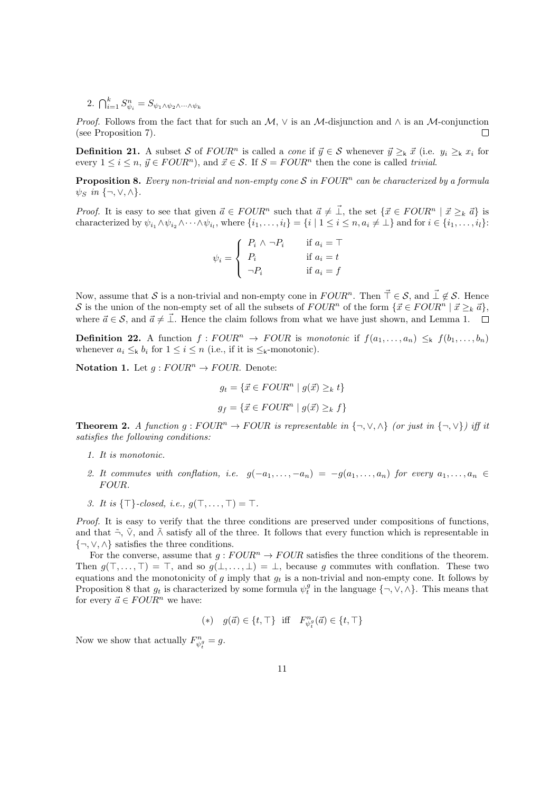2.  $\bigcap_{i=1}^k S_{\psi_i}^n = S_{\psi_1 \wedge \psi_2 \wedge \cdots \wedge \psi_k}$ 

*Proof.* Follows from the fact that for such an  $M$ ,  $\vee$  is an M-disjunction and  $\wedge$  is an M-conjunction (see Proposition 7).  $\Box$ 

**Definition 21.** A subset S of  $FOUR^n$  is called a *cone* if  $\vec{y} \in S$  whenever  $\vec{y} \geq_k \vec{x}$  (i.e.  $y_i \geq_k x_i$  for every  $1 \leq i \leq n$ ,  $\vec{y} \in FOUR^n$ , and  $\vec{x} \in \mathcal{S}$ . If  $S = FOUR^n$  then the cone is called trivial.

**Proposition 8.** Every non-trivial and non-empty cone S in  $FOUR<sup>n</sup>$  can be characterized by a formula  $\psi_S$  in  $\{\neg, \vee, \wedge\}.$ 

*Proof.* It is easy to see that given  $\vec{a} \in FOUR^n$  such that  $\vec{a} \neq \vec{\perp}$ , the set  $\{\vec{x} \in FOUR^n \mid \vec{x} \geq_k \vec{a}\}$  is characterized by  $\psi_{i_1} \wedge \psi_{i_2} \wedge \cdots \wedge \psi_{i_l}$ , where  $\{i_1, \ldots, i_l\} = \{i \mid 1 \le i \le n, a_i \ne \bot\}$  and for  $i \in \{i_1, \ldots, i_l\}$ :

$$
\psi_i = \begin{cases} P_i \wedge \neg P_i & \text{if } a_i = \top \\ P_i & \text{if } a_i = t \\ \neg P_i & \text{if } a_i = f \end{cases}
$$

Now, assume that S is a non-trivial and non-empty cone in  $FOUR^n$ . Then  $\vec{\top} \in \mathcal{S}$ , and  $\vec{\bot} \notin \mathcal{S}$ . Hence S is the union of the non-empty set of all the subsets of  $FOUR^n$  of the form  $\{\vec{x} \in FOUR^n \mid \vec{x} \geq_k \vec{a}\}\,$ where  $\vec{a} \in \mathcal{S}$ , and  $\vec{a} \neq \vec{\perp}$ . Hence the claim follows from what we have just shown, and Lemma 1.  $\square$ 

**Definition 22.** A function  $f : FOUR^n \rightarrow FOUR$  is monotonic if  $f(a_1, \ldots, a_n) \leq_k f(b_1, \ldots, b_n)$ whenever  $a_i \leq_k b_i$  for  $1 \leq i \leq n$  (i.e., if it is  $\leq_k$ -monotonic).

Notation 1. Let  $g:FOUR^n \to FOUR$ . Denote:

$$
g_t = \{ \vec{x} \in FOUR^n \mid g(\vec{x}) \geq_k t \}
$$

$$
g_f = \{ \vec{x} \in FOUR^n \mid g(\vec{x}) \geq_k f \}
$$

**Theorem 2.** A function  $g : FOUR^n \to FOUR$  is representable in  $\{\neg, \vee, \wedge\}$  (or just in  $\{\neg, \vee\}$ ) iff it satisfies the following conditions:

- 1. It is monotonic.
- 2. It commutes with conflation, i.e.  $g(-a_1, \ldots, -a_n) = -g(a_1, \ldots, a_n)$  for every  $a_1, \ldots, a_n \in$ FOUR.
- 3. It is  $\{\top\}$ -closed, i.e.,  $q(\top, \ldots, \top) = \top$ .

Proof. It is easy to verify that the three conditions are preserved under compositions of functions, and that  $\tilde{\neg}$ ,  $\tilde{\vee}$ , and  $\tilde{\wedge}$  satisfy all of the three. It follows that every function which is representable in  $\{\neg, \vee, \wedge\}$  satisfies the three conditions.

For the converse, assume that  $g : FOUR^n \rightarrow FOUR$  satisfies the three conditions of the theorem. Then  $g(\top, \ldots, \top) = \top$ , and so  $g(\bot, \ldots, \bot) = \bot$ , because g commutes with conflation. These two equations and the monotonicity of g imply that  $g_t$  is a non-trivial and non-empty cone. It follows by Proposition 8 that  $g_t$  is characterized by some formula  $\psi_t^g$  in the language  $\{\neg, \vee, \wedge\}$ . This means that for every  $\vec{a} \in FOUR^n$  we have:

$$
(*)\quad g(\vec{a})\in\{t,\top\}\quad \text{iff}\quad F^{n}_{\psi^g_t}(\vec{a})\in\{t,\top\}
$$

Now we show that actually  $F_{\psi_t^g}^n = g$ .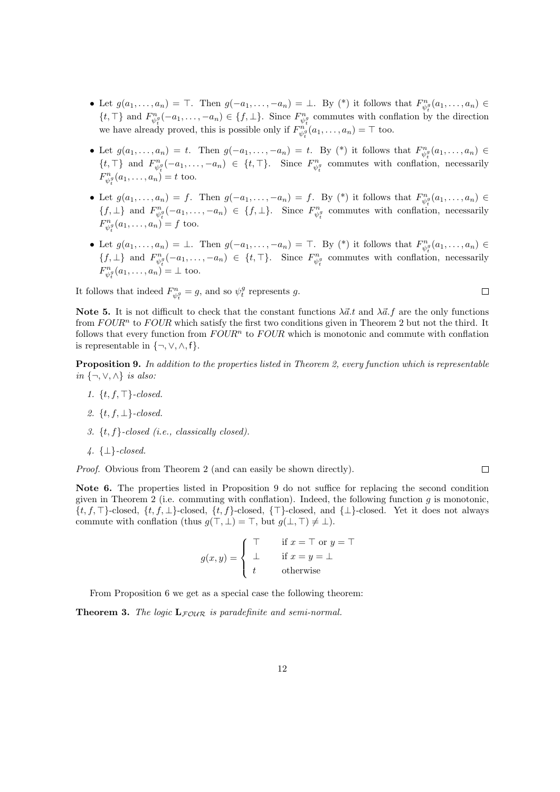- Let  $g(a_1,\ldots,a_n) = \top$ . Then  $g(-a_1,\ldots,-a_n) = \bot$ . By (\*) it follows that  $F_{\psi_i^g}^n(a_1,\ldots,a_n) \in$  $\{t, \top\}$  and  $F_{\psi_i^g}^n(-a_1, \ldots, -a_n) \in \{f, \bot\}$ . Since  $F_{\psi_i^g}^n$  commutes with conflation by the direction we have already proved, this is possible only if  $F_{\psi_i^g}^{n_g}(a_1,\ldots,a_n) = \top$  too.
- Let  $g(a_1,\ldots,a_n) = t$ . Then  $g(-a_1,\ldots,-a_n) = t$ . By (\*) it follows that  $F_{\psi_t^g}^n(a_1,\ldots,a_n) \in$  $\{t, \top\}$  and  $F_{\psi_t^g}^n(-a_1, \ldots, -a_n) \in \{t, \top\}$ . Since  $F_{\psi_t^g}^n$  commutes with conflation, necessarily  $F_{\psi_t^g}^n(a_1, ..., a_n) = t$  too.
- Let  $g(a_1,\ldots,a_n) = f$ . Then  $g(-a_1,\ldots,-a_n) = f$ . By (\*) it follows that  $F_{\psi_t^g}^n(a_1,\ldots,a_n) \in$  $\{f, \perp\}$  and  $F_{\psi_t^g}^n(-a_1, \ldots, -a_n) \in \{f, \perp\}$ . Since  $F_{\psi_t^g}^n$  commutes with conflation, necessarily  $F_{\psi_t^g}^n(a_1, ..., a_n) = f$  too.
- Let  $g(a_1,\ldots,a_n) = \bot$ . Then  $g(-a_1,\ldots,-a_n) = \top$ . By (\*) it follows that  $F_{\psi_i^g}^n(a_1,\ldots,a_n) \in$  $\{f, \perp\}$  and  $F_{\psi_t^g}^n(-a_1, \ldots, -a_n) \in \{t, \top\}$ . Since  $F_{\psi_t^g}^n$  commutes with conflation, necessarily  $F_{\psi_t^g}^n(a_1,\ldots,a_n) = \perp \text{ too.}$

 $\Box$ 

 $\Box$ 

It follows that indeed  $F_{\psi_t^g}^n = g$ , and so  $\psi_t^g$  represents g.

Note 5. It is not difficult to check that the constant functions  $\lambda \vec{a}.t$  and  $\lambda \vec{a}.f$  are the only functions from  $FOUR<sup>n</sup>$  to  $FOUR$  which satisfy the first two conditions given in Theorem 2 but not the third. It follows that every function from  $FOUR<sup>n</sup>$  to  $FOUR$  which is monotonic and commute with conflation is representable in  $\{\neg, \vee, \wedge, f\}.$ 

Proposition 9. In addition to the properties listed in Theorem 2, every function which is representable *in*  ${¬, ∨, ∧}$  *is also*:

- 1.  $\{t, f, \top\}$ -closed.
- 2.  $\{t, f, \perp\}$ -closed.
- 3.  $\{t, f\}$ -closed (i.e., classically closed).
- $4. \{\perp\}$ -closed.

Proof. Obvious from Theorem 2 (and can easily be shown directly).

Note 6. The properties listed in Proposition 9 do not suffice for replacing the second condition given in Theorem 2 (i.e. commuting with conflation). Indeed, the following function  $g$  is monotonic,  $\{t, f, \top\}$ -closed,  $\{t, f, \bot\}$ -closed,  $\{t, f\}$ -closed,  $\{\top\}$ -closed, and  $\{\bot\}$ -closed. Yet it does not always commute with conflation (thus  $g(\top, \bot) = \top$ , but  $g(\bot, \top) \neq \bot$ ).

$$
g(x,y) = \begin{cases} \top & \text{if } x = \top \text{ or } y = \top \\ \bot & \text{if } x = y = \bot \\ t & \text{otherwise} \end{cases}
$$

From Proposition 6 we get as a special case the following theorem:

**Theorem 3.** The logic  $\mathbf{L}_{FOUR}$  is paradefinite and semi-normal.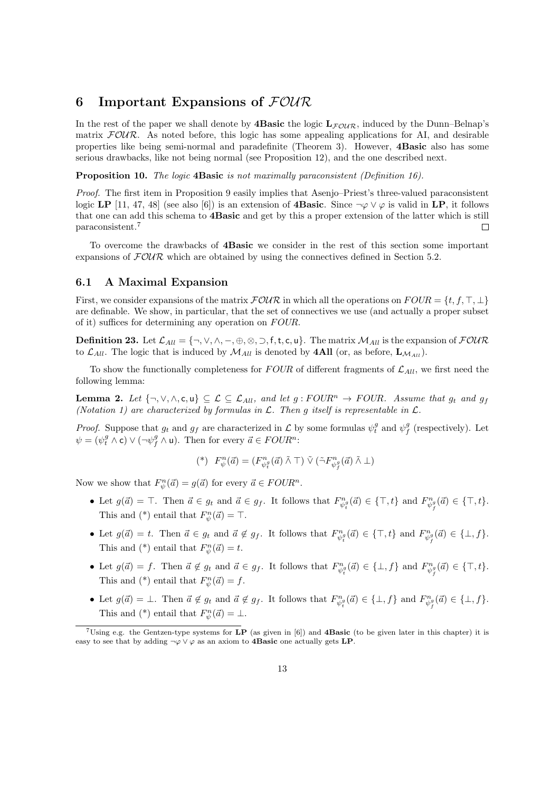## 6 Important Expansions of  $F\mathcal{O}\mathcal{U}\mathcal{R}$

In the rest of the paper we shall denote by **4Basic** the logic  $\mathbf{L}_{FQUR}$ , induced by the Dunn–Belnap's matrix  $F\text{OUR}$ . As noted before, this logic has some appealing applications for AI, and desirable properties like being semi-normal and paradefinite (Theorem 3). However, 4Basic also has some serious drawbacks, like not being normal (see Proposition 12), and the one described next.

Proposition 10. The logic 4Basic is not maximally paraconsistent (Definition 16).

Proof. The first item in Proposition 9 easily implies that Asenjo–Priest's three-valued paraconsistent logic LP [11, 47, 48] (see also [6]) is an extension of **4Basic**. Since  $\neg \varphi \lor \varphi$  is valid in LP, it follows that one can add this schema to 4Basic and get by this a proper extension of the latter which is still paraconsistent.<sup>7</sup>  $\Box$ 

To overcome the drawbacks of 4Basic we consider in the rest of this section some important expansions of  $FOWR$  which are obtained by using the connectives defined in Section 5.2.

#### 6.1 A Maximal Expansion

First, we consider expansions of the matrix  $\mathcal{FOUR}$  in which all the operations on  $FOUR = \{t, f, \top, \bot\}$ are definable. We show, in particular, that the set of connectives we use (and actually a proper subset of it) suffices for determining any operation on FOUR.

**Definition 23.** Let  $\mathcal{L}_{All} = \{\neg, \vee, \wedge, \neg, \oplus, \otimes, \supset, f, t, c, u\}$ . The matrix  $\mathcal{M}_{All}$  is the expansion of  $\mathcal{FOUR}$ to  $\mathcal{L}_{All}$ . The logic that is induced by  $\mathcal{M}_{All}$  is denoted by **4All** (or, as before,  $\mathbf{L}_{\mathcal{M}_{All}}$ ).

To show the functionally completeness for  $FOUR$  of different fragments of  $\mathcal{L}_{All}$ , we first need the following lemma:

**Lemma 2.** Let  $\{\neg, \vee, \wedge, \mathsf{c}, \mathsf{u}\} \subseteq \mathcal{L} \subseteq \mathcal{L}_{All}$ , and let  $g:FOUR^n \rightarrow FOUR$ . Assume that  $g_t$  and  $g_f$ (Notation 1) are characterized by formulas in  $\mathcal{L}$ . Then g itself is representable in  $\mathcal{L}$ .

*Proof.* Suppose that  $g_t$  and  $g_f$  are characterized in  $\mathcal L$  by some formulas  $\psi_t^g$  and  $\psi_f^g$  (respectively). Let  $\psi = (\psi_i^g \wedge \mathsf{c}) \vee (\neg \psi_f^g \wedge \mathsf{u})$ . Then for every  $\vec{a} \in FOUR^n$ :

$$
(^*)\ F_{\psi}^n(\vec{a})=(F_{\psi_t^q}^n(\vec{a})\ \tilde{\land}\ \top)\ \tilde{\lor}\ (\tilde{\neg}F_{\psi_f^q}^n(\vec{a})\ \tilde{\land}\ \bot)
$$

Now we show that  $F_{\psi}^n(\vec{a}) = g(\vec{a})$  for every  $\vec{a} \in FOUR^n$ .

- Let  $g(\vec{a}) = \top$ . Then  $\vec{a} \in g_t$  and  $\vec{a} \in g_f$ . It follows that  $F_{\psi_t^g}^n(\vec{a}) \in {\top, t}$  and  $F_{\psi_f^g}^n(\vec{a}) \in {\top, t}$ . This and (\*) entail that  $F_{\psi}^n(\vec{a}) = \top$ .
- Let  $g(\vec{a}) = t$ . Then  $\vec{a} \in g_t$  and  $\vec{a} \notin g_f$ . It follows that  $F_{\psi_t^g}^n(\vec{a}) \in {\text{I},t}$  and  $F_{\psi_f^g}^n(\vec{a}) \in {\text{L},f}.$ This and (\*) entail that  $F_{\psi}^n(\vec{a}) = t$ .
- Let  $g(\vec{a}) = f$ . Then  $\vec{a} \notin g_t$  and  $\vec{a} \in g_f$ . It follows that  $F_{\psi_i^g}^n(\vec{a}) \in \{\perp, f\}$  and  $F_{\psi_f^g}^n(\vec{a}) \in \{\top, t\}$ . This and (\*) entail that  $F_{\psi}^n(\vec{a}) = f$ .
- Let  $g(\vec{a}) = \bot$ . Then  $\vec{a} \notin g_t$  and  $\vec{a} \notin g_f$ . It follows that  $F_{\psi_i^g}^n(\vec{a}) \in {\bot, f}$  and  $F_{\psi_j^g}^n(\vec{a}) \in {\bot, f}$ . This and (\*) entail that  $F_{\psi}^n(\vec{a}) = \perp$ .

<sup>&</sup>lt;sup>7</sup>Using e.g. the Gentzen-type systems for LP (as given in [6]) and **4Basic** (to be given later in this chapter) it is easy to see that by adding  $\neg \varphi \lor \varphi$  as an axiom to **4Basic** one actually gets LP.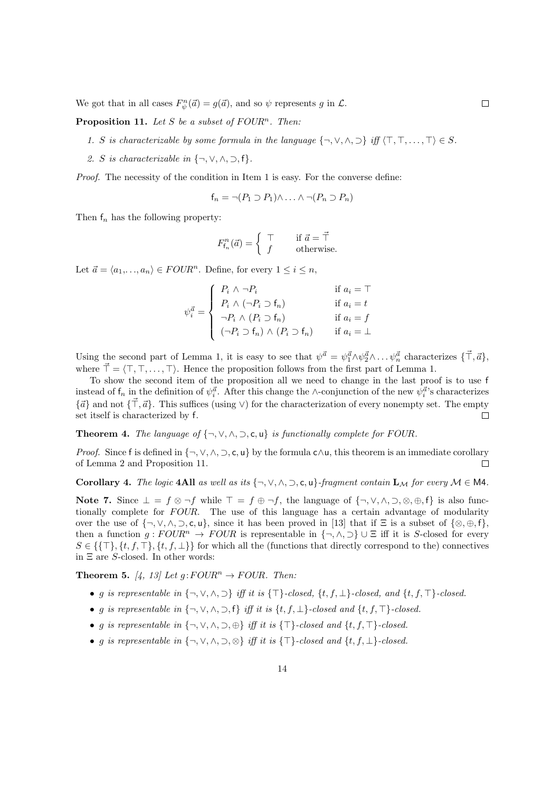We got that in all cases  $F_{\psi}^n(\vec{a}) = g(\vec{a})$ , and so  $\psi$  represents g in  $\mathcal{L}$ .

**Proposition 11.** Let S be a subset of FOUR<sup>n</sup>. Then:

- 1. S is characterizable by some formula in the language  $\{\neg, \vee, \wedge, \supset\}$  iff  $\{\top, \top, \ldots, \top\} \in S$ .
- 2. S is characterizable in  $\{\neg, \vee, \wedge, \supset, f\}.$

Proof. The necessity of the condition in Item 1 is easy. For the converse define:

$$
f_n = \neg (P_1 \supset P_1) \land \dots \land \neg (P_n \supset P_n)
$$

Then  $f_n$  has the following property:

$$
F^n_{\mathsf{f}_n}(\vec{a}) = \left\{ \begin{array}{ll} \top \qquad & \text{if $\vec{a} = \vec{\top}$} \\ f & \text{otherwise.} \end{array} \right.
$$

Let  $\vec{a} = \langle a_1, \ldots, a_n \rangle \in FOUR^n$ . Define, for every  $1 \leq i \leq n$ ,

$$
\psi_i^{\vec{a}} = \begin{cases}\nP_i \wedge \neg P_i & \text{if } a_i = \top \\
P_i \wedge (\neg P_i \supset f_n) & \text{if } a_i = t \\
\neg P_i \wedge (P_i \supset f_n) & \text{if } a_i = f \\
(\neg P_i \supset f_n) \wedge (P_i \supset f_n) & \text{if } a_i = \bot\n\end{cases}
$$

Using the second part of Lemma 1, it is easy to see that  $\psi^{\vec{a}} = \psi_1^{\vec{a}} \wedge \psi_2^{\vec{a}} \wedge \dots \psi_n^{\vec{a}}$  characterizes  $\{\vec{\top}, \vec{a}\}$ , where  $\vec{\top} = \langle \top, \top, \ldots, \top \rangle$ . Hence the proposition follows from the first part of Lemma 1.

To show the second item of the proposition all we need to change in the last proof is to use f instead of  $f_n$  in the definition of  $\psi_i^{\vec{a}}$ . After this change the ∧-conjunction of the new  $\psi_i^{\vec{a}}$ 's characterizes  ${\{\vec{a}\}}$  and not  ${\{\vec{T}, \vec{a}\}}$ . This suffices (using  $\vee$ ) for the characterization of every nonempty set. The empty set itself is characterized by f.  $\Box$ 

**Theorem 4.** The language of  $\{\neg, \vee, \wedge, \supset, \mathsf{c}, \mathsf{u}\}$  is functionally complete for FOUR.

*Proof.* Since f is defined in  $\{\neg, \vee, \wedge, \supset, \mathsf{c}, \mathsf{u}\}$  by the formula  $\mathsf{c} \wedge \mathsf{u}$ , this theorem is an immediate corollary of Lemma 2 and Proposition 11.  $\Box$ 

Corollary 4. The logic 4All as well as its  $\{\neg, \vee, \wedge, \supset, \mathsf{c}, \mathsf{u}\}$ -fragment contain  $\mathbf{L}_{\mathcal{M}}$  for every  $\mathcal{M} \in \mathsf{M}4$ .

Note 7. Since  $\bot = f \otimes \neg f$  while  $\top = f \oplus \neg f$ , the language of  $\{\neg, \vee, \wedge, \neg, \otimes, \oplus, f\}$  is also functionally complete for  $FOUR$ . The use of this language has a certain advantage of modularity over the use of  $\{\neg, \vee, \wedge, \supset, c, u\}$ , since it has been proved in [13] that if  $\Xi$  is a subset of  $\{\otimes, \oplus, f\}$ , then a function  $g : FOUR^n \to FOUR$  is representable in  $\{\neg, \wedge, \supset\} \cup \Xi$  iff it is S-closed for every  $S \in \{\{\top\}, \{t, f, \top\}, \{t, f, \bot\}\}\$ for which all the (functions that directly correspond to the) connectives in  $\Xi$  are *S*-closed. In other words:

**Theorem 5.** [4, 13] Let  $g:FOUR^n \to FOUR$ . Then:

- g is representable in  $\{\neg, \vee, \wedge, \supset\}$  iff it is  $\{\top\}$ -closed,  $\{t, f, \bot\}$ -closed, and  $\{t, f, \top\}$ -closed.
- g is representable in  $\{\neg, \vee, \wedge, \supset, f\}$  iff it is  $\{t, f, \perp\}$ -closed and  $\{t, f, \top\}$ -closed.
- g is representable in  ${\{\neg, \lor, \land, \supset, \oplus\}}$  iff it is  ${\{\top\}}\text{-closed}$  and  ${\{t, f, \top\}}\text{-closed}$ .
- g is representable in  ${\neg, \lor, \land, \neg, \otimes}$  iff it is  ${\top}$ -closed and  $\{t, f, \bot\}$ -closed.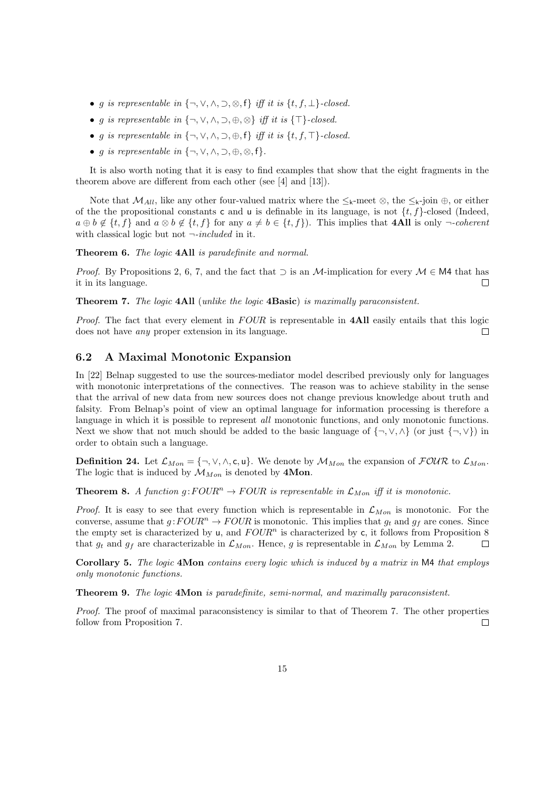- g is representable in  $\{\neg, \vee, \wedge, \supset, \otimes, f\}$  iff it is  $\{t, f, \perp\}$ -closed.
- g is representable in  $\{\neg, \vee, \wedge, \supset, \oplus, \otimes\}$  iff it is  $\{\top\}$ -closed.
- g is representable in  $\{\neg, \vee, \wedge, \supset, \oplus, f\}$  iff it is  $\{t, f, \top\}$ -closed.
- *g is representable in*  $\{\neg, \vee, \wedge, \neg, \oplus, \otimes, f\}.$

It is also worth noting that it is easy to find examples that show that the eight fragments in the theorem above are different from each other (see [4] and [13]).

Note that  $\mathcal{M}_{All}$ , like any other four-valued matrix where the  $\leq_k$ -meet ⊗, the  $\leq_k$ -join ⊕, or either of the the propositional constants c and u is definable in its language, is not  $\{t, f\}$ -closed (Indeed,  $a \oplus b \notin \{t, f\}$  and  $a \otimes b \notin \{t, f\}$  for any  $a \neq b \in \{t, f\}$ . This implies that **4All** is only  $\neg$ -coherent with classical logic but not  $\neg$ -included in it.

Theorem 6. The logic 4All is paradefinite and normal.

*Proof.* By Propositions 2, 6, 7, and the fact that  $\supset$  is an M-implication for every  $\mathcal{M} \in \mathsf{M4}$  that has it in its language.  $\Box$ 

Theorem 7. The logic 4All (unlike the logic 4Basic) is maximally paraconsistent.

Proof. The fact that every element in FOUR is representable in **4All** easily entails that this logic does not have any proper extension in its language. П

#### 6.2 A Maximal Monotonic Expansion

In [22] Belnap suggested to use the sources-mediator model described previously only for languages with monotonic interpretations of the connectives. The reason was to achieve stability in the sense that the arrival of new data from new sources does not change previous knowledge about truth and falsity. From Belnap's point of view an optimal language for information processing is therefore a language in which it is possible to represent *all* monotonic functions, and only monotonic functions. Next we show that not much should be added to the basic language of  $\{\neg, \vee, \wedge\}$  (or just  $\{\neg, \vee\}$ ) in order to obtain such a language.

**Definition 24.** Let  $\mathcal{L}_{Mon} = \{\neg, \vee, \wedge, \mathsf{c}, \mathsf{u}\}.$  We denote by  $\mathcal{M}_{Mon}$  the expansion of  $\mathcal{FOUR}$  to  $\mathcal{L}_{Mon}$ . The logic that is induced by  $\mathcal{M}_{Mon}$  is denoted by 4Mon.

**Theorem 8.** A function  $q:FOUR^n \to FOUR$  is representable in  $\mathcal{L}_{Mon}$  iff it is monotonic.

*Proof.* It is easy to see that every function which is representable in  $\mathcal{L}_{Mon}$  is monotonic. For the converse, assume that  $g:FOUR^n \to FOUR$  is monotonic. This implies that  $g_t$  and  $g_f$  are cones. Since the empty set is characterized by u, and  $FOUR<sup>n</sup>$  is characterized by c, it follows from Proposition 8 that  $g_t$  and  $g_f$  are characterizable in  $\mathcal{L}_{Mon}$ . Hence, g is representable in  $\mathcal{L}_{Mon}$  by Lemma 2.  $\Box$ 

Corollary 5. The logic 4Mon contains every logic which is induced by a matrix in M4 that employs only monotonic functions.

Theorem 9. The logic 4Mon is paradefinite, semi-normal, and maximally paraconsistent.

Proof. The proof of maximal paraconsistency is similar to that of Theorem 7. The other properties follow from Proposition 7. П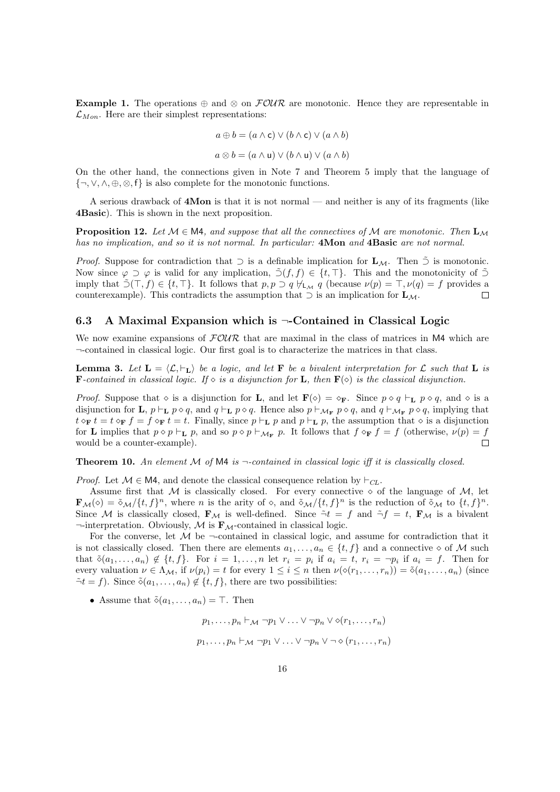Example 1. The operations  $\oplus$  and  $\otimes$  on  $\mathcal{FOUR}$  are monotonic. Hence they are representable in  $\mathcal{L}_{Mon}$ . Here are their simplest representations:

$$
a \oplus b = (a \wedge \mathsf{c}) \vee (b \wedge \mathsf{c}) \vee (a \wedge b)
$$

$$
a \otimes b = (a \wedge u) \vee (b \wedge u) \vee (a \wedge b)
$$

On the other hand, the connections given in Note 7 and Theorem 5 imply that the language of  $\{\neg, \vee, \wedge, \oplus, \otimes, f\}$  is also complete for the monotonic functions.

A serious drawback of 4Mon is that it is not normal — and neither is any of its fragments (like 4Basic). This is shown in the next proposition.

**Proposition 12.** Let  $M \in M$ 4, and suppose that all the connectives of M are monotonic. Then  $\mathbf{L}_M$ has no implication, and so it is not normal. In particular: **4Mon** and **4Basic** are not normal.

*Proof.* Suppose for contradiction that  $\supset$  is a definable implication for  $\mathbf{L}_{\mathcal{M}}$ . Then  $\supset$  is monotonic. Now since  $\varphi \supset \varphi$  is valid for any implication,  $\tilde{\supset}(f, f) \in \{t, \top\}$ . This and the monotonicity of  $\tilde{\supset}$ imply that  $\tilde{\supset}(T, f) \in \{t, T\}$ . It follows that  $p, p \supset q \nvdash_M q$  (because  $\nu(p) = T, \nu(q) = f$  provides a counterexample). This contradicts the assumption that  $\supset$  is an implication for  $\mathbf{L}_{\mathcal{M}}$ . П

#### 6.3 A Maximal Expansion which is  $\neg$ -Contained in Classical Logic

We now examine expansions of  $FOUR$  that are maximal in the class of matrices in M4 which are ¬-contained in classical logic. Our first goal is to characterize the matrices in that class.

**Lemma 3.** Let  $\mathbf{L} = \langle \mathcal{L}, \vdash_{\mathbf{L}} \rangle$  be a logic, and let **F** be a bivalent interpretation for  $\mathcal{L}$  such that **L** is **F**-contained in classical logic. If  $\diamond$  is a disjunction for **L**, then **F**( $\diamond$ ) is the classical disjunction.

*Proof.* Suppose that  $\circ$  is a disjunction for **L**, and let  $\mathbf{F}(\circ) = \circ_{\mathbf{F}}$ . Since  $p \circ q \vdash_{\mathbf{L}} p \circ q$ , and  $\circ$  is a disjunction for **L**,  $p \vdash_L p \diamond q$ , and  $q \vdash_L p \diamond q$ . Hence also  $p \vdash_{\mathcal{M}_F} p \diamond q$ , and  $q \vdash_{\mathcal{M}_F} p \diamond q$ , implying that  $t \circ_{\mathbf{F}} t = t \circ_{\mathbf{F}} f = f \circ_{\mathbf{F}} t = t$ . Finally, since  $p \vdash_{\mathbf{L}} p$  and  $p \vdash_{\mathbf{L}} p$ , the assumption that  $\circ$  is a disjunction for **L** implies that  $p \circ p \vdash_L p$ , and so  $p \circ p \vdash_{\mathcal{M}_F} p$ . It follows that  $f \circ_F f = f$  (otherwise,  $\nu(p) = f$  $\Box$ would be a counter-example).

**Theorem 10.** An element M of M4 is  $\neg$ -contained in classical logic iff it is classically closed.

*Proof.* Let  $\mathcal{M} \in \mathbb{M}$ , and denote the classical consequence relation by  $\vdash_{\mathcal{CH}}$ .

Assume first that M is classically closed. For every connective  $\diamond$  of the language of M, let  $\mathbf{F}_{\mathcal{M}}(\diamond) = \tilde{\diamond}_{\mathcal{M}}\big\langle \{t,f\}^n$ , where *n* is the arity of  $\diamond$ , and  $\tilde{\diamond}_{\mathcal{M}}\big\langle \{t,f\}^n$  is the reduction of  $\tilde{\diamond}_{\mathcal{M}}$  to  $\{t,f\}^n$ . Since M is classically closed,  $\mathbf{F}_{\mathcal{M}}$  is well-defined. Since  $\tilde{\neg}t = f$  and  $\tilde{\neg}f = t$ ,  $\mathbf{F}_{\mathcal{M}}$  is a bivalent  $\neg$ -interpretation. Obviously, M is  $\mathbf{F}_{\mathcal{M}}$ -contained in classical logic.

For the converse, let  $M$  be  $\neg$ -contained in classical logic, and assume for contradiction that it is not classically closed. Then there are elements  $a_1, \ldots, a_n \in \{t, f\}$  and a connective  $\diamond$  of M such that  $\tilde{\diamond}(a_1,\ldots,a_n) \notin \{t,f\}$ . For  $i=1,\ldots,n$  let  $r_i = p_i$  if  $a_i = t$ ,  $r_i = \neg p_i$  if  $a_i = f$ . Then for every valuation  $\nu \in \Lambda_{\mathcal{M}}$ , if  $\nu(p_i) = t$  for every  $1 \leq i \leq n$  then  $\nu(\diamond(r_1, \ldots, r_n)) = \tilde{\diamond}(a_1, \ldots, a_n)$  (since  $\tilde{\neg} t = f$ ). Since  $\tilde{\diamond} (a_1, \ldots, a_n) \notin \{t, f\}$ , there are two possibilities:

• Assume that  $\tilde{\diamond}(a_1,\ldots,a_n)=\top$ . Then

$$
p_1, \ldots, p_n \vdash_{\mathcal{M}} \neg p_1 \lor \ldots \lor \neg p_n \lor \Diamond(r_1, \ldots, r_n)
$$
  

$$
p_1, \ldots, p_n \vdash_{\mathcal{M}} \neg p_1 \lor \ldots \lor \neg p_n \lor \neg \Diamond(r_1, \ldots, r_n)
$$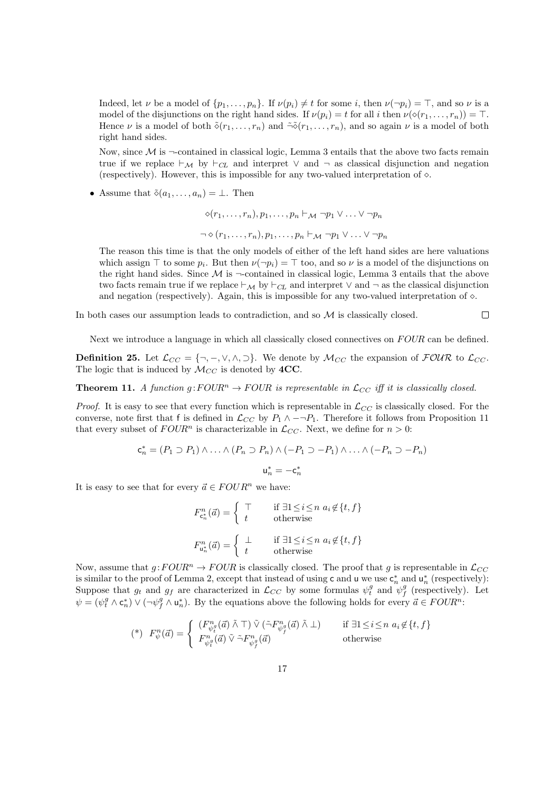Indeed, let  $\nu$  be a model of  $\{p_1, \ldots, p_n\}$ . If  $\nu(p_i) \neq t$  for some i, then  $\nu(\neg p_i) = \top$ , and so  $\nu$  is a model of the disjunctions on the right hand sides. If  $\nu(p_i) = t$  for all i then  $\nu(\diamond(r_1, \ldots, r_n)) = \top$ . Hence  $\nu$  is a model of both  $\tilde{\diamond}(r_1,\ldots,r_n)$  and  $\tilde{\diamond}(\tilde{r}_1,\ldots,\tilde{r}_n)$ , and so again  $\nu$  is a model of both right hand sides.

Now, since  $\mathcal M$  is  $\neg$ -contained in classical logic, Lemma 3 entails that the above two facts remain true if we replace  $\vdash_{\mathcal{M}}$  by  $\vdash_{\mathcal{CH}}$  and interpret  $\vee$  and  $\neg$  as classical disjunction and negation (respectively). However, this is impossible for any two-valued interpretation of  $\diamond$ .

• Assume that  $\tilde{\diamond}(a_1, \ldots, a_n) = \bot$ . Then

$$
\diamond (r_1, \ldots, r_n), p_1, \ldots, p_n \vdash_{\mathcal{M}} \neg p_1 \vee \ldots \vee \neg p_n
$$
  

$$
\neg \diamond (r_1, \ldots, r_n), p_1, \ldots, p_n \vdash_{\mathcal{M}} \neg p_1 \vee \ldots \vee \neg p_n
$$

The reason this time is that the only models of either of the left hand sides are here valuations which assign  $\top$  to some  $p_i$ . But then  $\nu(\neg p_i) = \top$  too, and so  $\nu$  is a model of the disjunctions on the right hand sides. Since  $\mathcal M$  is  $\neg$ -contained in classical logic, Lemma 3 entails that the above two facts remain true if we replace  $\vdash_M$  by  $\vdash_{CL}$  and interpret  $\lor$  and  $\neg$  as the classical disjunction and negation (respectively). Again, this is impossible for any two-valued interpretation of  $\diamond$ .

 $\Box$ 

In both cases our assumption leads to contradiction, and so  $M$  is classically closed.

Next we introduce a language in which all classically closed connectives on FOUR can be defined.

**Definition 25.** Let  $\mathcal{L}_{CC} = \{\neg, \neg, \vee, \wedge, \neg\}$ . We denote by  $\mathcal{M}_{CC}$  the expansion of  $\mathcal{FOUR}$  to  $\mathcal{L}_{CC}$ . The logic that is induced by  $\mathcal{M}_{CC}$  is denoted by  $4CC$ .

**Theorem 11.** A function  $q:FOUR^n \to FOUR$  is representable in  $\mathcal{L}_{CC}$  iff it is classically closed.

*Proof.* It is easy to see that every function which is representable in  $\mathcal{L}_{CC}$  is classically closed. For the converse, note first that f is defined in  $\mathcal{L}_{CC}$  by  $P_1 \wedge \neg P_1$ . Therefore it follows from Proposition 11 that every subset of  $FOUR<sup>n</sup>$  is characterizable in  $\mathcal{L}_{CC}$ . Next, we define for  $n > 0$ :

$$
c_n^* = (P_1 \supset P_1) \land \dots \land (P_n \supset P_n) \land (-P_1 \supset -P_1) \land \dots \land (-P_n \supset -P_n)
$$

$$
u_n^* = -c_n^*
$$

It is easy to see that for every  $\vec{a} \in FOUR^n$  we have:

$$
F_{\mathbf{c}_{n}^{n}}^{n}(\vec{a}) = \begin{cases} \top & \text{if } \exists 1 \leq i \leq n \ a_{i} \notin \{t, f\} \\ t & \text{otherwise} \end{cases}
$$

$$
F_{\mathbf{u}_{n}^{n}}^{n}(\vec{a}) = \begin{cases} \bot & \text{if } \exists 1 \leq i \leq n \ a_{i} \notin \{t, f\} \\ t & \text{otherwise} \end{cases}
$$

Now, assume that  $g:FOUR^n \to FOUR$  is classically closed. The proof that g is representable in  $\mathcal{L}_{CC}$ is similar to the proof of Lemma 2, except that instead of using c and u we use  $\mathsf{c}_n^*$  and  $\mathsf{u}_n^*$  (respectively): Suppose that  $g_t$  and  $g_f$  are characterized in  $\mathcal{L}_{CC}$  by some formulas  $\psi_t^g$  and  $\psi_f^g$  (respectively). Let  $\psi = (\psi_i^g \wedge \mathsf{c}_n^*) \vee (\neg \psi_j^g \wedge \mathsf{u}_n^*)$ . By the equations above the following holds for every  $\vec{a} \in FOUR^n$ :

$$
(\mathbf{a}) \quad F_{\psi}^{n}(\vec{a}) = \begin{cases} \begin{array}{c} (F_{\psi_{\vec{t}}}^{n}(\vec{a}) \land \top) \lor (\tilde{\neg} F_{\psi_{\vec{y}}}^{n}(\vec{a}) \land \bot) & \text{if } \exists 1 \leq i \leq n \ a_{i} \notin \{t, f\} \\ F_{\psi_{\vec{t}}}^{n}(\vec{a}) \lor \tilde{\neg} F_{\psi_{\vec{y}}}^{n}(\vec{a}) & \text{otherwise} \end{array} \end{cases}
$$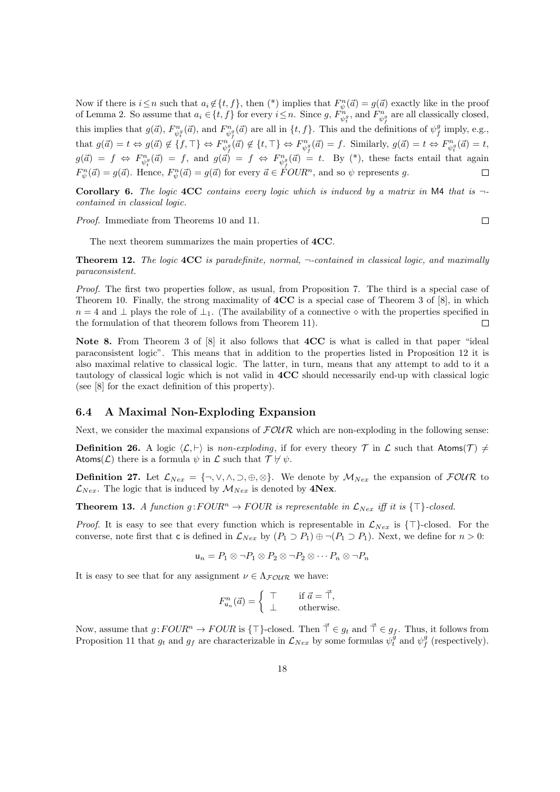Now if there is  $i \leq n$  such that  $a_i \notin \{t, f\}$ , then  $(*)$  implies that  $F_{\psi}^n(\vec{a}) = g(\vec{a})$  exactly like in the proof of Lemma 2. So assume that  $a_i \in \{t, f\}$  for every  $i \leq n$ . Since g,  $F_{\psi_i^{\theta_i}}^{n}$ , and  $F_{\psi_f^{\theta_i}}^{n}$  are all classically closed, this implies that  $g(\vec{a}), F_{\psi_i^g}^n(\vec{a})$ , and  $F_{\psi_j^g}^n(\vec{a})$  are all in  $\{t, f\}$ . This and the definitions of  $\psi_j^g$  imply, e.g., that  $g(\vec{a}) = t \Leftrightarrow g(\vec{a}) \notin \{f, \top\} \Leftrightarrow F_{\psi_f^q}^{\vec{n}}(\vec{a}) \notin \{t, \top\} \Leftrightarrow F_{\psi_f^q}^{\vec{n}}(\vec{a}) = f$ . Similarly,  $g(\vec{a}) = t \Leftrightarrow F_{\psi_f^q}^{\vec{n}}(\vec{a}) = t$ ,  $g(\vec{a}) = f \Leftrightarrow F_{\psi_t^g}^n(\vec{a}) = f$ , and  $g(\vec{a}) = f \Leftrightarrow F_{\psi_f^g}^n(\vec{a}) = t$ . By (\*), these facts entail that again  $F_{\psi}^{n}(\vec{a}) = g(\vec{a})$ . Hence,  $F_{\psi}^{n}(\vec{a}) = g(\vec{a})$  for every  $\vec{a} \in \text{FOUR}^{n}$ , and so  $\psi$  represents g.

Corollary 6. The logic  $4CC$  contains every logic which is induced by a matrix in M4 that is  $\neg$ contained in classical logic.

Proof. Immediate from Theorems 10 and 11.

 $\Box$ 

The next theorem summarizes the main properties of 4CC.

**Theorem 12.** The logic  $4CC$  is paradefinite, normal,  $\neg$ -contained in classical logic, and maximally paraconsistent.

Proof. The first two properties follow, as usual, from Proposition 7. The third is a special case of Theorem 10. Finally, the strong maximality of  $4CC$  is a special case of Theorem 3 of [8], in which  $n = 4$  and  $\perp$  plays the role of  $\perp_1$ . (The availability of a connective  $\diamond$  with the properties specified in the formulation of that theorem follows from Theorem 11).  $\Box$ 

Note 8. From Theorem 3 of [8] it also follows that 4CC is what is called in that paper "ideal" paraconsistent logic". This means that in addition to the properties listed in Proposition 12 it is also maximal relative to classical logic. The latter, in turn, means that any attempt to add to it a tautology of classical logic which is not valid in 4CC should necessarily end-up with classical logic (see [8] for the exact definition of this property).

#### 6.4 A Maximal Non-Exploding Expansion

Next, we consider the maximal expansions of  $F\mathcal{OUR}$  which are non-exploding in the following sense:

**Definition 26.** A logic  $\langle \mathcal{L}, \cdot \rangle$  is non-exploding, if for every theory  $\mathcal{T}$  in  $\mathcal{L}$  such that Atoms( $\mathcal{T}$ )  $\neq$ Atoms( $\mathcal L$ ) there is a formula  $\psi$  in  $\mathcal L$  such that  $\mathcal T\not\vdash \psi$ .

**Definition 27.** Let  $\mathcal{L}_{Nex} = \{\neg, \vee, \wedge, \supset, \oplus, \otimes\}$ . We denote by  $M_{Nex}$  the expansion of  $\mathcal{FOUR}$  to  $\mathcal{L}_{Nex}$ . The logic that is induced by  $\mathcal{M}_{Nex}$  is denoted by 4Nex.

**Theorem 13.** A function  $g:FOUR^n \to FOUR$  is representable in  $\mathcal{L}_{Nex}$  iff it is  $\{\top\}$ -closed.

*Proof.* It is easy to see that every function which is representable in  $\mathcal{L}_{Nex}$  is  $\{\top\}$ -closed. For the converse, note first that c is defined in  $\mathcal{L}_{Nex}$  by  $(P_1 \supset P_1) \oplus \neg (P_1 \supset P_1)$ . Next, we define for  $n > 0$ :

$$
\mathsf{u}_n = P_1 \otimes \neg P_1 \otimes P_2 \otimes \neg P_2 \otimes \cdots P_n \otimes \neg P_n
$$

It is easy to see that for any assignment  $\nu \in \Lambda_{\mathcal{F}\mathcal{O}\mathcal{U}\mathcal{R}}$  we have:

$$
F_{\mathsf{u}_n}^n(\vec{a}) = \left\{ \begin{array}{cc} \top & \text{if } \vec{a} = \vec{\top}, \\ \bot & \text{otherwise.} \end{array} \right.
$$

Now, assume that  $g:FOUR^n \to FOUR$  is  $\{\top\}$ -closed. Then  $\vec{\top} \in g_t$  and  $\vec{\top} \in g_f$ . Thus, it follows from Proposition 11 that  $g_t$  and  $g_f$  are characterizable in  $\mathcal{L}_{Nex}$  by some formulas  $\psi_t^{\tilde{g}}$  and  $\psi_f^{\tilde{g}}$  (respectively).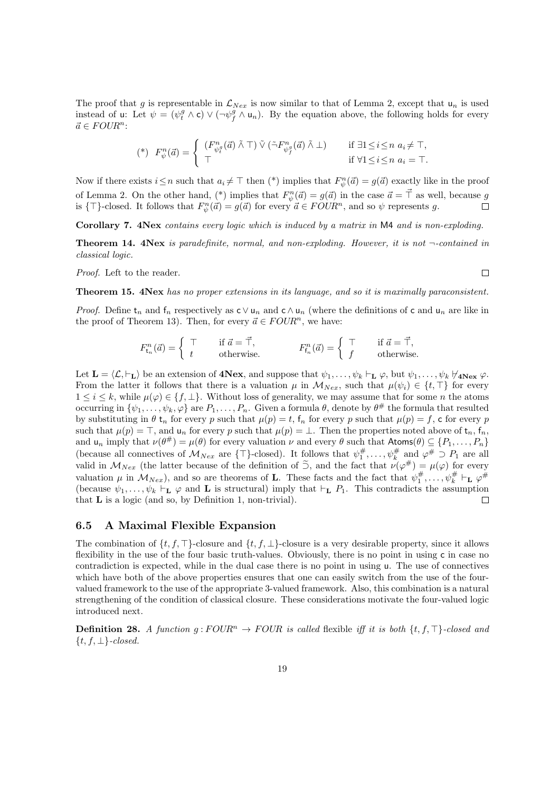The proof that g is representable in  $\mathcal{L}_{Nex}$  is now similar to that of Lemma 2, except that  $u_n$  is used instead of u: Let  $\psi = (\psi_t^g \wedge c) \vee (\neg \psi_f^g \wedge u_n)$ . By the equation above, the following holds for every  $\vec{a} \in FOUR^n$ :

$$
(\mathbf{a}) \quad F_{\psi}^{n}(\vec{a}) = \begin{cases} \begin{array}{ll} (F_{\psi_{i}^{g}}^{n}(\vec{a}) \land \top) \lor (\tilde{\neg} F_{\psi_{j}^{g}}^{n}(\vec{a}) \land \bot) & \text{if } \exists 1 \leq i \leq n \ a_{i} \neq \top, \\ \top & \text{if } \forall 1 \leq i \leq n \ a_{i} = \top. \end{array} \end{cases}
$$

Now if there exists  $i \leq n$  such that  $a_i \neq \top$  then (\*) implies that  $F_{\psi}^n(\vec{a}) = g(\vec{a})$  exactly like in the proof of Lemma 2. On the other hand, (\*) implies that  $F_{\psi}^n(\vec{a}) = g(\vec{a})$  in the case  $\vec{a} = \vec{\perp}$  as well, because g is  $\{\top\}$ -closed. It follows that  $F_{\psi}^n(\vec{a}) = g(\vec{a})$  for every  $\vec{a} \in FOUR^n$ , and so  $\psi$  represents g.  $\Box$ 

Corollary 7. 4Nex contains every logic which is induced by a matrix in M4 and is non-exploding.

**Theorem 14. 4Nex** is paradefinite, normal, and non-exploding. However, it is not  $\neg$ -contained in classical logic.

Proof. Left to the reader.

 $\Box$ 

#### Theorem 15.  $4Nex$  has no proper extensions in its language, and so it is maximally paraconsistent.

*Proof.* Define  $t_n$  and  $f_n$  respectively as  $c \vee u_n$  and  $c \wedge u_n$  (where the definitions of c and  $u_n$  are like in the proof of Theorem 13). Then, for every  $\vec{a} \in FOUR^n$ , we have:

$$
F_{\mathsf{t}_n}^n(\vec{a}) = \left\{ \begin{array}{ccc} \top & \text{if } \vec{a} = \vec{\top}, \\ t & \text{otherwise.} \end{array} \right. \qquad F_{\mathsf{f}_n}^n(\vec{a}) = \left\{ \begin{array}{ccc} \top & \text{if } \vec{a} = \vec{\top}, \\ f & \text{otherwise.} \end{array} \right.
$$

Let  $\mathbf{L} = \langle \mathcal{L}, \vdash_{\mathbf{L}} \rangle$  be an extension of  $4Nex$ , and suppose that  $\psi_1, \ldots, \psi_k \vdash_{\mathbf{L}} \varphi$ , but  $\psi_1, \ldots, \psi_k \nvdash_{4Nex} \varphi$ . From the latter it follows that there is a valuation  $\mu$  in  $\mathcal{M}_{Nex}$ , such that  $\mu(\psi_i) \in \{t, \top\}$  for every  $1 \leq i \leq k$ , while  $\mu(\varphi) \in \{f, \perp\}$ . Without loss of generality, we may assume that for some n the atoms occurring in  $\{\psi_1,\ldots,\psi_k,\varphi\}$  are  $P_1,\ldots,P_n$ . Given a formula  $\theta$ , denote by  $\theta^{\#}$  the formula that resulted by substituting in  $\theta$  t<sub>n</sub> for every p such that  $\mu(p) = t$ , f<sub>n</sub> for every p such that  $\mu(p) = f$ , c for every p such that  $\mu(p) = \top$ , and  $\mathsf{u}_n$  for every p such that  $\mu(p) = \bot$ . Then the properties noted above of  $\mathsf{t}_n$ ,  $\mathsf{f}_n$ , and  $u_n$  imply that  $\nu(\theta^*) = \mu(\theta)$  for every valuation  $\nu$  and every  $\theta$  such that  $\mathsf{Atoms}(\theta) \subseteq \{P_1, \ldots, P_n\}$ (because all connectives of  $\mathcal{M}_{Nex}$  are { $\top$ }-closed). It follows that  $\psi_1^{\#}, \ldots, \psi_k^{\#}$  and  $\varphi^{\#} \supset P_1$  are all valid in  $\mathcal{M}_{Nex}$  (the latter because of the definition of  $\tilde{\supset}$ , and the fact that  $\nu(\varphi^{\#}) = \mu(\varphi)$  for every valuation  $\mu$  in  $\mathcal{M}_{Nex}$ ), and so are theorems of **L**. These facts and the fact that  $\psi_1^{\#}, \ldots, \psi_k^{\#} \vdash_{\mathbf{L}} \varphi^{\#}$ (because  $\psi_1, \ldots, \psi_k \vdash_{\mathbf{L}} \varphi$  and  $\mathbf{L}$  is structural) imply that  $\vdash_{\mathbf{L}} P_1$ . This contradicts the assumption that L is a logic (and so, by Definition 1, non-trivial).  $\Box$ 

#### 6.5 A Maximal Flexible Expansion

The combination of  $\{t, f, \top\}$ -closure and  $\{t, f, \bot\}$ -closure is a very desirable property, since it allows flexibility in the use of the four basic truth-values. Obviously, there is no point in using c in case no contradiction is expected, while in the dual case there is no point in using u. The use of connectives which have both of the above properties ensures that one can easily switch from the use of the fourvalued framework to the use of the appropriate 3-valued framework. Also, this combination is a natural strengthening of the condition of classical closure. These considerations motivate the four-valued logic introduced next.

**Definition 28.** A function  $g: FOUR^n \to FOUR$  is called flexible iff it is both  $\{t, f, \top\}$ -closed and  $\{t, f, \perp\}$ -closed.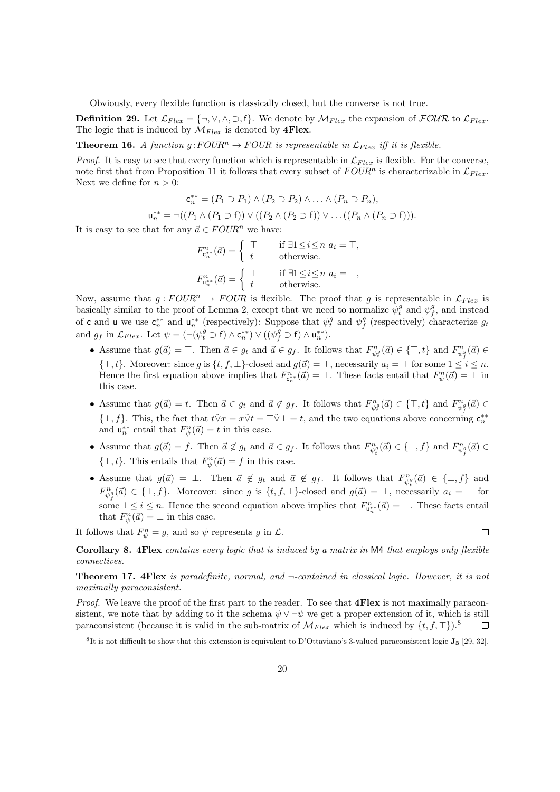Obviously, every flexible function is classically closed, but the converse is not true.

**Definition 29.** Let  $\mathcal{L}_{Flex} = \{\neg, \vee, \wedge, \supset, f\}$ . We denote by  $\mathcal{M}_{Flex}$  the expansion of  $\mathcal{FOUR}$  to  $\mathcal{L}_{Flex}$ . The logic that is induced by  $\mathcal{M}_{Flex}$  is denoted by **4Flex**.

**Theorem 16.** A function  $g:FOUR^n \to FOUR$  is representable in  $\mathcal{L}_{Flex}$  iff it is flexible.

*Proof.* It is easy to see that every function which is representable in  $\mathcal{L}_{Flex}$  is flexible. For the converse, note first that from Proposition 11 it follows that every subset of  $FOUR<sup>n</sup>$  is characterizable in  $\mathcal{L}_{Flex}$ . Next we define for  $n > 0$ :

$$
\mathbf{c}_n^{**} = (P_1 \supset P_1) \land (P_2 \supset P_2) \land \dots \land (P_n \supset P_n),
$$
  

$$
\mathbf{u}_n^{**} = \neg((P_1 \land (P_1 \supset \mathbf{f})) \lor ((P_2 \land (P_2 \supset \mathbf{f})) \lor \dots ((P_n \land (P_n \supset \mathbf{f}))).
$$

It is easy to see that for any  $\vec{a} \in FOUR^n$  we have:

$$
F_{\mathbf{c}_{n}^{*}}^{n}(\vec{a}) = \begin{cases} \top & \text{if } \exists 1 \leq i \leq n \ a_{i} = \top, \\ t & \text{otherwise.} \end{cases}
$$

$$
F_{\mathbf{u}_{n}^{*}}^{n}(\vec{a}) = \begin{cases} \bot & \text{if } \exists 1 \leq i \leq n \ a_{i} = \bot, \\ t & \text{otherwise.} \end{cases}
$$

Now, assume that  $g:FOUR^n \to FOUR$  is flexible. The proof that g is representable in  $\mathcal{L}_{Flex}$  is basically similar to the proof of Lemma 2, except that we need to normalize  $\psi_t^g$  and  $\psi_f^g$ , and instead of c and u we use  $\mathsf{c}_{n}^{**}$  and  $\mathsf{u}_{n}^{**}$  (respectively): Suppose that  $\psi_{t}^{g}$  and  $\psi_{f}^{g}$  (respectively) characterize  $g_{t}$ and  $g_f$  in  $\mathcal{L}_{Flex}$ . Let  $\psi = (\neg(\psi_i^g \supset f) \wedge \mathsf{c}_n^{**}) \vee ((\psi_f^g \supset f) \wedge \mathsf{u}_n^{**}).$ 

- Assume that  $g(\vec{a}) = \top$ . Then  $\vec{a} \in g_t$  and  $\vec{a} \in g_f$ . It follows that  $F_{\psi_t^g}^n(\vec{a}) \in {\top, t}$  and  $F_{\psi_f^g}^n(\vec{a}) \in$  ${\{\top, t\}}$ . Moreover: since g is  $\{t, f, \bot\}$ -closed and  $g(\vec{a}) = \top$ , necessarily  $a_i = \top$  for some  $1 \leq i \leq n$ . Hence the first equation above implies that  $F_{\mathfrak{c}_n^{**}}^n(\vec{a}) = \top$ . These facts entail that  $F_{\psi}^n(\vec{a}) = \top$  in this case.
- Assume that  $g(\vec{a}) = t$ . Then  $\vec{a} \in g_t$  and  $\vec{a} \notin g_f$ . It follows that  $F_{\psi_t^a}^n(\vec{a}) \in {\{\top, t\}}$  and  $F_{\psi_f^a}^n(\vec{a}) \in$  $\{\perp, f\}$ . This, the fact that  $t\tilde{V}x = x\tilde{V}t = \top \tilde{V} \perp t$ , and the two equations above concerning  $\mathbf{c}_n^{**}$ and  $\mathsf{u}_n^{**}$  entail that  $F_{\psi}^n(\vec{a}) = t$  in this case.
- Assume that  $g(\vec{a}) = f$ . Then  $\vec{a} \notin g_t$  and  $\vec{a} \in g_f$ . It follows that  $F_{\psi_t^a}^n(\vec{a}) \in {\{\perp, f\}}$  and  $F_{\psi_f^a}^n(\vec{a}) \in$  $\{\top, t\}$ . This entails that  $F_{\psi}^n(\vec{a}) = f$  in this case.
- Assume that  $g(\vec{a}) = \perp$ . Then  $\vec{a} \notin g_t$  and  $\vec{a} \notin g_f$ . It follows that  $F_{\psi_t^g}^n(\vec{a}) \in {\perp, f}$  and  $F_{\psi_f^g}^n(\vec{a}) \in \{\perp, f\}.$  Moreover: since g is  $\{t, f, \top\}$ -closed and  $g(\vec{a}) = \perp$ , necessarily  $a_i = \perp$  for some  $1 \leq i \leq n$ . Hence the second equation above implies that  $F_{\mathbf{u}_n^{n*}}^n(\vec{a}) = \perp$ . These facts entail that  $F_{\psi}^n(\vec{a}) = \perp$  in this case.

 $\Box$ 

It follows that  $F_{\psi}^{n} = g$ , and so  $\psi$  represents g in  $\mathcal{L}$ .

Corollary 8. 4Flex contains every logic that is induced by a matrix in M4 that employs only flexible connectives.

Theorem 17. 4Flex is paradefinite, normal, and ¬-contained in classical logic. However, it is not maximally paraconsistent.

Proof. We leave the proof of the first part to the reader. To see that **4Flex** is not maximally paraconsistent, we note that by adding to it the schema  $\psi \vee \neg \psi$  we get a proper extension of it, which is still paraconsistent (because it is valid in the sub-matrix of  $\mathcal{M}_{Flex}$  which is induced by  $\{t, f, \top\}$ ).<sup>8</sup>  $\Box$ 

 ${}^{8}$ It is not difficult to show that this extension is equivalent to D'Ottaviano's 3-valued paraconsistent logic  $J_3$  [29, 32].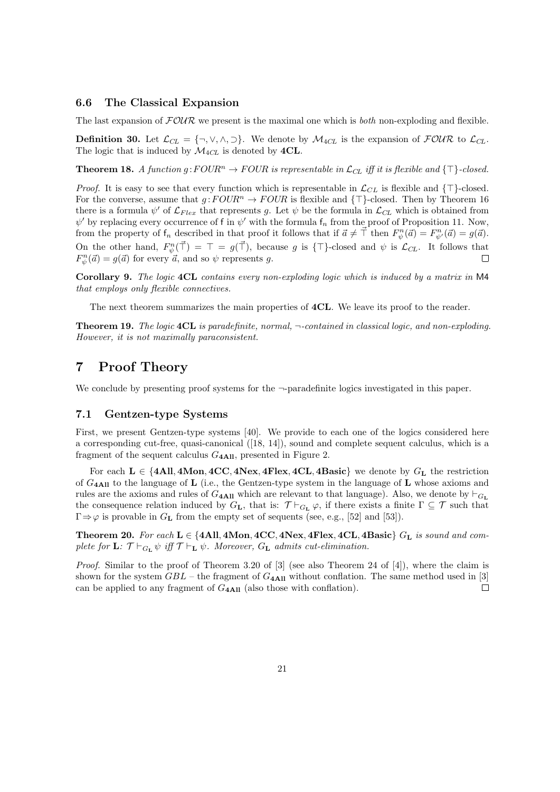#### 6.6 The Classical Expansion

The last expansion of  $FOWR$  we present is the maximal one which is *both* non-exploding and flexible.

**Definition 30.** Let  $\mathcal{L}_{CL} = \{\neg, \vee, \wedge, \neg\}$ . We denote by  $\mathcal{M}_{4CL}$  is the expansion of  $\mathcal{FOUR}$  to  $\mathcal{L}_{CL}$ . The logic that is induced by  $\mathcal{M}_{4CL}$  is denoted by  $4CL$ .

**Theorem 18.** A function  $g:FOUR^n \to FOUR$  is representable in  $\mathcal{L}_{CL}$  iff it is flexible and  $\{\top\}$ -closed.

*Proof.* It is easy to see that every function which is representable in  $\mathcal{L}_{CL}$  is flexible and  $\{\top\}$ -closed. For the converse, assume that  $g:FOUR^n \to FOUR$  is flexible and  $\{\top\}$ -closed. Then by Theorem 16 there is a formula  $\psi'$  of  $\mathcal{L}_{Flex}$  that represents g. Let  $\psi$  be the formula in  $\mathcal{L}_{CL}$  which is obtained from  $\psi'$  by replacing every occurrence of f in  $\psi'$  with the formula  $f_n$  from the proof of Proposition 11. Now, from the property of  $f_n$  described in that proof it follows that if  $\vec{a} \neq \vec{\perp}$  then  $F_{\psi}^n(\vec{a}) = F_{\psi'}^n(\vec{a}) = g(\vec{a})$ . On the other hand,  $F_{\psi}^n(\vec{\tau}) = \top = g(\vec{\tau})$ , because g is  $\{\top\}$ -closed and  $\psi$  is  $\mathcal{L}_{CL}$ . It follows that  $F_{\psi}^{n}(\vec{a}) = g(\vec{a})$  for every  $\vec{a}$ , and so  $\psi$  represents g. П

Corollary 9. The logic 4CL contains every non-exploding logic which is induced by a matrix in M4 that employs only flexible connectives.

The next theorem summarizes the main properties of **4CL**. We leave its proof to the reader.

**Theorem 19.** The logic **4CL** is paradefinite, normal,  $\neg$ -contained in classical logic, and non-exploding. However, it is not maximally paraconsistent.

### 7 Proof Theory

We conclude by presenting proof systems for the  $\neg$ -paradefinite logics investigated in this paper.

#### 7.1 Gentzen-type Systems

First, we present Gentzen-type systems [40]. We provide to each one of the logics considered here a corresponding cut-free, quasi-canonical ([18, 14]), sound and complete sequent calculus, which is a fragment of the sequent calculus  $G_{4\text{All}}$ , presented in Figure 2.

For each  $L \in \{4All, 4Mon, 4CC, 4Nex, 4Flex, 4CL, 4Basic\}$  we denote by  $G_L$  the restriction of  $G_{4\text{All}}$  to the language of **L** (i.e., the Gentzen-type system in the language of **L** whose axioms and rules are the axioms and rules of  $G_{4\text{Al}}$  which are relevant to that language). Also, we denote by  $\vdash_{G_{L}}$ the consequence relation induced by  $G_L$ , that is:  $\mathcal{T} \vdash_{G_L} \varphi$ , if there exists a finite  $\Gamma \subseteq \mathcal{T}$  such that  $\Gamma \Rightarrow \varphi$  is provable in  $G_{\mathbf{L}}$  from the empty set of sequents (see, e.g., [52] and [53]).

Theorem 20. For each  $L \in \{4All, 4Mon, 4CC, 4Nex, 4Flex, 4CL, 4Basic\}$   $G_L$  is sound and complete for **L**:  $\mathcal{T} \vdash_{G_{\mathbf{L}}} \psi$  iff  $\mathcal{T} \vdash_{\mathbf{L}} \psi$ . Moreover,  $G_{\mathbf{L}}$  admits cut-elimination.

Proof. Similar to the proof of Theorem 3.20 of [3] (see also Theorem 24 of [4]), where the claim is shown for the system  $GBL$  – the fragment of  $G<sub>4</sub>A<sub>II</sub>$  without conflation. The same method used in [3] can be applied to any fragment of  $G_{4\text{All}}$  (also those with conflation).  $\Box$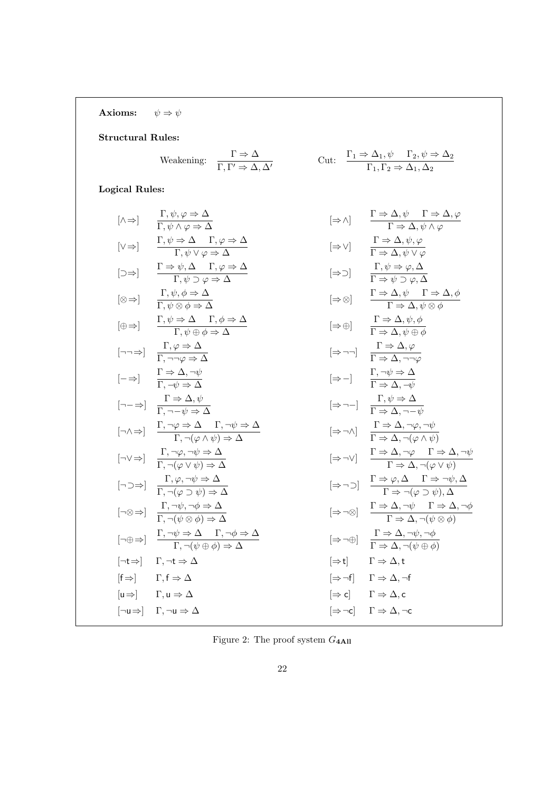Axioms:  $\psi \Rightarrow \psi$ 

#### Structural Rules:

$$
\text{Weakening:} \quad \frac{\Gamma \Rightarrow \Delta}{\Gamma,\Gamma' \Rightarrow \Delta,\Delta'} \qquad \qquad \text{Cut:} \quad \frac{\Gamma_1 \Rightarrow \Delta_1,\psi \quad \Gamma_2,\psi \Rightarrow \Delta_2}{\Gamma_1,\Gamma_2 \Rightarrow \Delta_1,\Delta_2}
$$

## Logical Rules:

| $[\wedge \Rightarrow]$                                                                                 | $\frac{\Gamma, \psi, \varphi \Rightarrow \Delta}{\Gamma, \psi \land \varphi \Rightarrow \Delta}$                                | $[\Rightarrow \wedge]$                                                                                     | $\frac{\Gamma \Rightarrow \Delta, \psi \quad \Gamma \Rightarrow \Delta, \varphi}{\Gamma \Rightarrow \Delta, \psi \land \varphi}$ |
|--------------------------------------------------------------------------------------------------------|---------------------------------------------------------------------------------------------------------------------------------|------------------------------------------------------------------------------------------------------------|----------------------------------------------------------------------------------------------------------------------------------|
| $[\neg \Rightarrow]$                                                                                   | $\frac{\Gamma \Rightarrow \psi, \Delta \quad \Gamma, \varphi \Rightarrow \Delta}{\Gamma, \psi \lor \varphi \Rightarrow \Delta}$ | $[\Rightarrow \vee]$                                                                                       | $\frac{\Gamma \Rightarrow \Delta, \psi, \varphi}{\Gamma \Rightarrow \Delta, \psi \lor \varphi}$                                  |
| $[\neg \Rightarrow]$                                                                                   | $\frac{\Gamma, \psi, \varphi \Rightarrow \Delta}{\Gamma, \psi \lor \varphi \Rightarrow \Delta}$                                 | $[\Rightarrow \circ]$                                                                                      | $\frac{\Gamma \Rightarrow \Delta, \psi}{\Gamma \Rightarrow \Delta, \psi \lor \varphi}$                                           |
| $[\neg \Rightarrow]$                                                                                   | $\frac{\Gamma, \psi \Rightarrow \Delta}{\Gamma, \neg \varphi \Rightarrow \Delta}$                                               | $[\Rightarrow \circ]$                                                                                      | $\frac{\Gamma \Rightarrow \Delta, \psi}{\Gamma \Rightarrow \Delta, \psi \lor \varphi}$                                           |
| $[-\Rightarrow]$                                                                                       | $\frac{\Gamma \Rightarrow \Delta, \neg \psi}{\Gamma, \neg \psi \Rightarrow \Delta}$                                             | $[\Rightarrow \neg] \quad \frac{\Gamma \Rightarrow \Delta, \psi}{\Gamma \Rightarrow \Delta, \neg \varphi}$ |                                                                                                                                  |
| $[-\neg] \quad \frac{\Gamma \Rightarrow \Delta, \psi}{\Gamma, \neg \psi \Rightarrow \Delta}$           | $[\Rightarrow \neg] \quad \frac{\Gamma \Rightarrow \Delta, \neg \psi}{\Gamma \Rightarrow \Delta, \neg \varphi}$                 |                                                                                                            |                                                                                                                                  |
| $[-\neg] \quad \frac{\Gamma \Rightarrow \varphi, \neg \varphi}{\Gamma, \neg \psi \Rightarrow \varphi}$ | <math display="</td>                                                                                                            |                                                                                                            |                                                                                                                                  |

Figure 2: The proof system  $G_{4\text{All}}$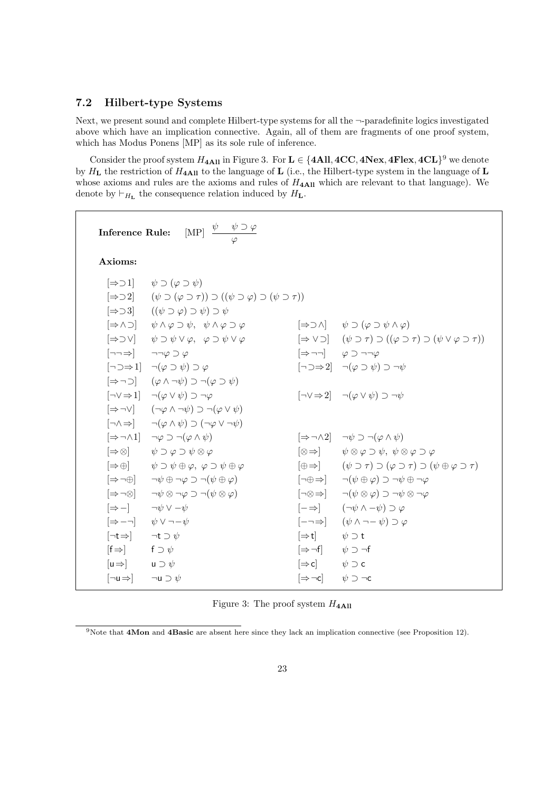#### 7.2 Hilbert-type Systems

Next, we present sound and complete Hilbert-type systems for all the ¬-paradefinite logics investigated above which have an implication connective. Again, all of them are fragments of one proof system, which has Modus Ponens [MP] as its sole rule of inference.

Consider the proof system  $H_{4\text{All}}$  in Figure 3. For  $\text{L} \in \{4\text{All}, 4CC, 4Nex, 4Flex, 4CL\}^9$  we denote by  $H_L$  the restriction of  $H_{4\text{All}}$  to the language of L (i.e., the Hilbert-type system in the language of L whose axioms and rules are the axioms and rules of  $H<sub>4All</sub>$  which are relevant to that language). We denote by  $\vdash_{H_{\mathbf{L}}}$  the consequence relation induced by  $H_{\mathbf{L}}$ .

**Inference Rule:**  $\begin{bmatrix} \text{MP} \end{bmatrix} \frac{\psi - \psi \supset \varphi}{\varphi}$ Axioms:  $[\Rightarrow 21]$   $\psi \supset (\varphi \supset \psi)$  $[\Rightarrow 22]$   $(\psi \supset (\varphi \supset \tau)) \supset ((\psi \supset \varphi) \supset (\psi \supset \tau))$ [⇒⊃3] ((ψ ⊃ ϕ) ⊃ ψ) ⊃ ψ  $[\Rightarrow \land \supset]$   $\psi \land \varphi \supset \psi$ ,  $\psi \land \varphi \supset \varphi$   $[\Rightarrow \supset \land]$   $\psi \supset (\varphi \supset \psi \land \varphi)$  $[\Rightarrow \supset \vee] \qquad \psi \supset \psi \vee \varphi, \quad \varphi \supset \psi \vee \varphi \qquad \qquad [\Rightarrow \vee \supset] \quad (\psi \supset \tau) \supset ((\varphi \supset \tau) \supset (\psi \vee \varphi \supset \tau))$  $\begin{bmatrix} \neg\neg\Rightarrow \end{bmatrix} \qquad \neg\neg\phi \supset \phi \qquad \qquad \begin{bmatrix} \Rightarrow \neg\neg \end{bmatrix} \qquad \varphi \supset \neg\neg\phi$  $\lbrack\neg \Rightarrow 1\rbrack$   $\neg(\varphi \supset \psi) \supset \varphi$   $\lbrack\neg \Rightarrow 2\rbrack$   $\neg(\varphi \supset \psi) \supset \neg \psi$  $[\Rightarrow \neg \supset] \quad (\varphi \wedge \neg \psi) \supset \neg (\varphi \supset \psi)$  $\begin{bmatrix} \neg \vee \Rightarrow 1 \end{bmatrix}$   $\neg (\varphi \vee \psi) \supset \neg \varphi$   $\qquad \qquad \begin{bmatrix} \neg \vee \Rightarrow 2 \end{bmatrix}$   $\neg (\varphi \vee \psi) \supset \neg \psi$  $[\Rightarrow\neg\vee]$   $(\neg\varphi \wedge \neg\psi) \supset \neg(\varphi \vee \psi)$  $\neg \wedge \Rightarrow$   $\neg(\varphi \wedge \psi) \supset (\neg \varphi \vee \neg \psi)$  $[\Rightarrow \neg \wedge 1]$   $\neg \varphi \supset \neg (\varphi \wedge \psi)$   $[\Rightarrow \neg \wedge 2]$   $\neg \psi \supset \neg (\varphi \wedge \psi)$  $[\Rightarrow \otimes] \qquad \psi \supset \varphi \supset \psi \otimes \varphi$   $\qquad \qquad [\otimes \Rightarrow] \qquad \psi \otimes \varphi \supset \psi, \ \psi \otimes \varphi \supset \varphi$  $[\Rightarrow\oplus] \qquad \psi \supset \psi \oplus \varphi, \ \varphi \supset \psi \oplus \varphi$   $[\oplus \Rightarrow] \qquad (\psi \supset \tau) \supset (\varphi \supset \tau) \supset (\psi \oplus \varphi \supset \tau)$  $[\Rightarrow \neg \oplus]$   $\neg \psi \oplus \neg \varphi \supset \neg (\psi \oplus \varphi)$   $\neg \neg \oplus \Rightarrow$   $\neg (\psi \oplus \varphi) \supset \neg \psi \oplus \neg \varphi$  $\lnot \otimes \neg \psi \otimes \neg \varphi \supset \neg(\psi \otimes \varphi)$   $\lnot \otimes \Rightarrow$   $\lnot (\psi \otimes \varphi) \supset \neg \psi \otimes \neg \varphi$ [⇒−] ¬ψ ∨ −ψ [−⇒] (¬ψ ∧ −ψ) ⊃ ϕ  $\Rightarrow$  −¬]  $\psi \vee \neg \neg \psi$  [-¬⇒]  $(\psi \wedge \neg \neg \psi) \supset \varphi$  $[\neg t \Rightarrow]$   $\neg t \supset \psi$   $\Rightarrow$   $[\Rightarrow t]$   $\psi \supset t$  $[f \Rightarrow]$  f  $\supset \psi$  f  $\supset \psi$  and  $[f \Rightarrow f]$   $\psi$   $\supset \neg f$  $[\mathsf{u}\Rightarrow]$  u  $\supset \psi$  c  $[\Rightarrow \mathsf{c}]$   $\psi \supset \mathsf{c}$  $[\neg \mathsf{u} \Rightarrow] \qquad \neg \mathsf{u} \supset \psi$   $\qquad \qquad [\Rightarrow \neg \mathsf{c}] \qquad \psi \supset \neg \mathsf{c}$ 

Figure 3: The proof system  $H_{4\text{Al}}$ 

<sup>9</sup>Note that 4Mon and 4Basic are absent here since they lack an implication connective (see Proposition 12).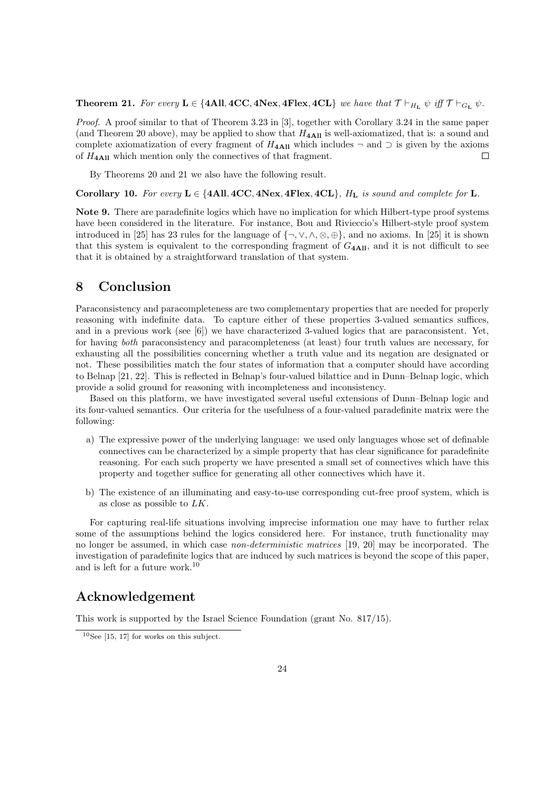**Theorem 21.** For every  $L \in \{4All, 4CC, 4Nex, 4Flex, 4CL\}$  we have that  $\mathcal{T} \vdash_{H_L} \psi$  iff  $\mathcal{T} \vdash_{G_L} \psi$ .

Proof. A proof similar to that of Theorem 3.23 in [3], together with Corollary 3.24 in the same paper (and Theorem 20 above), may be applied to show that  $H_{4\text{All}}$  is well-axiomatized, that is: a sound and complete axiomatization of every fragment of  $H_{4\text{Al}}$  which includes  $\neg$  and  $\supset$  is given by the axioms of  $H_{4\text{All}}$  which mention only the connectives of that fragment.  $\Box$ 

By Theorems 20 and 21 we also have the following result.

Corollary 10. For every  $L \in \{4All, 4CC, 4Next, 4Flex, 4CL\}$ ,  $H_L$  is sound and complete for L.

Note 9. There are paradefinite logics which have no implication for which Hilbert-type proof systems have been considered in the literature. For instance, Bou and Rivieccio's Hilbert-style proof system introduced in [25] has 23 rules for the language of  $\{\neg, \vee, \wedge, \otimes, \oplus\}$ , and no axioms. In [25] it is shown that this system is equivalent to the corresponding fragment of  $G_{4\text{All}}$ , and it is not difficult to see that it is obtained by a straightforward translation of that system.

## 8 Conclusion

Paraconsistency and paracompleteness are two complementary properties that are needed for properly reasoning with indefinite data. To capture either of these properties 3-valued semantics suffices, and in a previous work (see  $[6]$ ) we have characterized 3-valued logics that are paraconsistent. Yet, for having both paraconsistency and paracompleteness (at least) four truth values are necessary, for exhausting all the possibilities concerning whether a truth value and its negation are designated or not. These possibilities match the four states of information that a computer should have according to Belnap [21, 22]. This is reflected in Belnap's four-valued bilattice and in Dunn–Belnap logic, which provide a solid ground for reasoning with incompleteness and inconsistency.

Based on this platform, we have investigated several useful extensions of Dunn–Belnap logic and its four-valued semantics. Our criteria for the usefulness of a four-valued paradefinite matrix were the following:

- a) The expressive power of the underlying language: we used only languages whose set of definable connectives can be characterized by a simple property that has clear significance for paradefinite reasoning. For each such property we have presented a small set of connectives which have this property and together suffice for generating all other connectives which have it.
- b) The existence of an illuminating and easy-to-use corresponding cut-free proof system, which is as close as possible to LK.

For capturing real-life situations involving imprecise information one may have to further relax some of the assumptions behind the logics considered here. For instance, truth functionality may no longer be assumed, in which case non-deterministic matrices [19, 20] may be incorporated. The investigation of paradefinite logics that are induced by such matrices is beyond the scope of this paper, and is left for a future work.<sup>10</sup>

## Acknowledgement

This work is supported by the Israel Science Foundation (grant No. 817/15).

 $10$ See [15, 17] for works on this subject.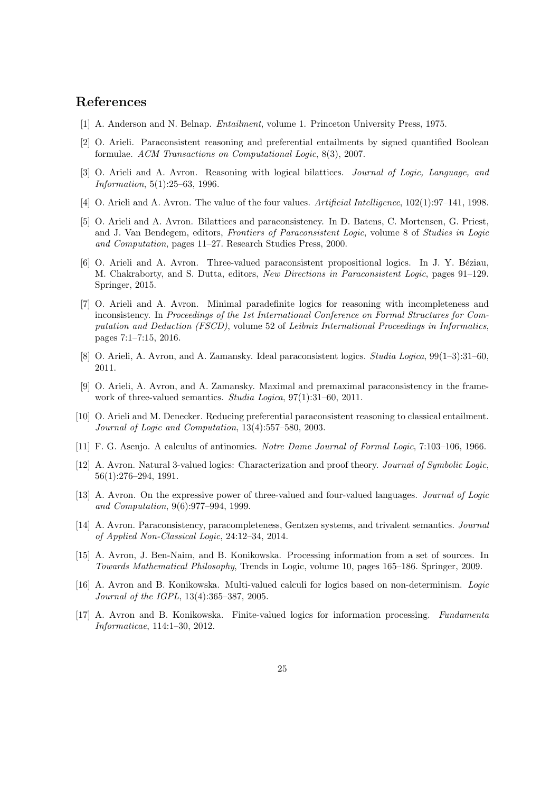## References

- [1] A. Anderson and N. Belnap. Entailment, volume 1. Princeton University Press, 1975.
- [2] O. Arieli. Paraconsistent reasoning and preferential entailments by signed quantified Boolean formulae. ACM Transactions on Computational Logic, 8(3), 2007.
- [3] O. Arieli and A. Avron. Reasoning with logical bilattices. Journal of Logic, Language, and Information, 5(1):25–63, 1996.
- [4] O. Arieli and A. Avron. The value of the four values. Artificial Intelligence, 102(1):97–141, 1998.
- [5] O. Arieli and A. Avron. Bilattices and paraconsistency. In D. Batens, C. Mortensen, G. Priest, and J. Van Bendegem, editors, Frontiers of Paraconsistent Logic, volume 8 of Studies in Logic and Computation, pages 11–27. Research Studies Press, 2000.
- [6] O. Arieli and A. Avron. Three-valued paraconsistent propositional logics. In J. Y. Béziau, M. Chakraborty, and S. Dutta, editors, New Directions in Paraconsistent Logic, pages 91–129. Springer, 2015.
- [7] O. Arieli and A. Avron. Minimal paradefinite logics for reasoning with incompleteness and inconsistency. In Proceedings of the 1st International Conference on Formal Structures for Computation and Deduction (FSCD), volume 52 of Leibniz International Proceedings in Informatics, pages 7:1–7:15, 2016.
- [8] O. Arieli, A. Avron, and A. Zamansky. Ideal paraconsistent logics. Studia Logica, 99(1–3):31–60, 2011.
- [9] O. Arieli, A. Avron, and A. Zamansky. Maximal and premaximal paraconsistency in the framework of three-valued semantics. Studia Logica, 97(1):31–60, 2011.
- [10] O. Arieli and M. Denecker. Reducing preferential paraconsistent reasoning to classical entailment. Journal of Logic and Computation, 13(4):557–580, 2003.
- [11] F. G. Asenjo. A calculus of antinomies. Notre Dame Journal of Formal Logic, 7:103–106, 1966.
- [12] A. Avron. Natural 3-valued logics: Characterization and proof theory. Journal of Symbolic Logic, 56(1):276–294, 1991.
- [13] A. Avron. On the expressive power of three-valued and four-valued languages. Journal of Logic and Computation, 9(6):977–994, 1999.
- [14] A. Avron. Paraconsistency, paracompleteness, Gentzen systems, and trivalent semantics. Journal of Applied Non-Classical Logic, 24:12–34, 2014.
- [15] A. Avron, J. Ben-Naim, and B. Konikowska. Processing information from a set of sources. In Towards Mathematical Philosophy, Trends in Logic, volume 10, pages 165–186. Springer, 2009.
- [16] A. Avron and B. Konikowska. Multi-valued calculi for logics based on non-determinism. Logic Journal of the IGPL, 13(4):365–387, 2005.
- [17] A. Avron and B. Konikowska. Finite-valued logics for information processing. Fundamenta Informaticae, 114:1–30, 2012.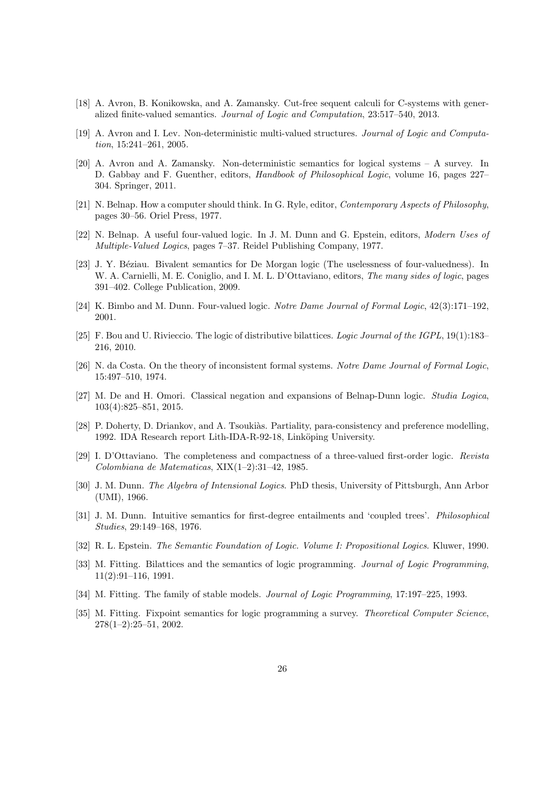- [18] A. Avron, B. Konikowska, and A. Zamansky. Cut-free sequent calculi for C-systems with generalized finite-valued semantics. Journal of Logic and Computation, 23:517–540, 2013.
- [19] A. Avron and I. Lev. Non-deterministic multi-valued structures. Journal of Logic and Computation, 15:241–261, 2005.
- [20] A. Avron and A. Zamansky. Non-deterministic semantics for logical systems A survey. In D. Gabbay and F. Guenther, editors, Handbook of Philosophical Logic, volume 16, pages 227– 304. Springer, 2011.
- [21] N. Belnap. How a computer should think. In G. Ryle, editor, Contemporary Aspects of Philosophy, pages 30–56. Oriel Press, 1977.
- [22] N. Belnap. A useful four-valued logic. In J. M. Dunn and G. Epstein, editors, Modern Uses of Multiple-Valued Logics, pages 7–37. Reidel Publishing Company, 1977.
- [23] J. Y. Béziau. Bivalent semantics for De Morgan logic (The uselessness of four-valuedness). In W. A. Carnielli, M. E. Coniglio, and I. M. L. D'Ottaviano, editors, *The many sides of logic*, pages 391–402. College Publication, 2009.
- [24] K. Bimbo and M. Dunn. Four-valued logic. Notre Dame Journal of Formal Logic, 42(3):171–192, 2001.
- [25] F. Bou and U. Rivieccio. The logic of distributive bilattices. Logic Journal of the IGPL, 19(1):183– 216, 2010.
- [26] N. da Costa. On the theory of inconsistent formal systems. Notre Dame Journal of Formal Logic, 15:497–510, 1974.
- [27] M. De and H. Omori. Classical negation and expansions of Belnap-Dunn logic. Studia Logica, 103(4):825–851, 2015.
- [28] P. Doherty, D. Driankov, and A. Tsoukiàs. Partiality, para-consistency and preference modelling, 1992. IDA Research report Lith-IDA-R-92-18, Linköping University.
- [29] I. D'Ottaviano. The completeness and compactness of a three-valued first-order logic. Revista Colombiana de Matematicas, XIX(1–2):31–42, 1985.
- [30] J. M. Dunn. The Algebra of Intensional Logics. PhD thesis, University of Pittsburgh, Ann Arbor (UMI), 1966.
- [31] J. M. Dunn. Intuitive semantics for first-degree entailments and 'coupled trees'. Philosophical Studies, 29:149–168, 1976.
- [32] R. L. Epstein. The Semantic Foundation of Logic. Volume I: Propositional Logics. Kluwer, 1990.
- [33] M. Fitting. Bilattices and the semantics of logic programming. *Journal of Logic Programming*, 11(2):91–116, 1991.
- [34] M. Fitting. The family of stable models. *Journal of Logic Programming*, 17:197–225, 1993.
- [35] M. Fitting. Fixpoint semantics for logic programming a survey. Theoretical Computer Science,  $278(1-2):25-51$ , 2002.